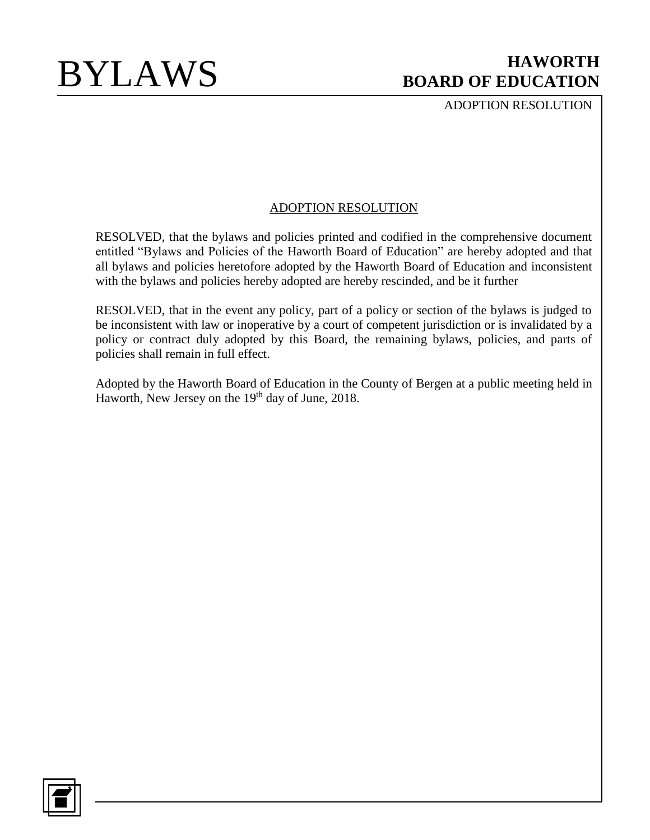ADOPTION RESOLUTION

## ADOPTION RESOLUTION

RESOLVED, that the bylaws and policies printed and codified in the comprehensive document entitled "Bylaws and Policies of the Haworth Board of Education" are hereby adopted and that all bylaws and policies heretofore adopted by the Haworth Board of Education and inconsistent with the bylaws and policies hereby adopted are hereby rescinded, and be it further

RESOLVED, that in the event any policy, part of a policy or section of the bylaws is judged to be inconsistent with law or inoperative by a court of competent jurisdiction or is invalidated by a policy or contract duly adopted by this Board, the remaining bylaws, policies, and parts of policies shall remain in full effect.

Adopted by the Haworth Board of Education in the County of Bergen at a public meeting held in Haworth, New Jersey on the 19<sup>th</sup> day of June, 2018.

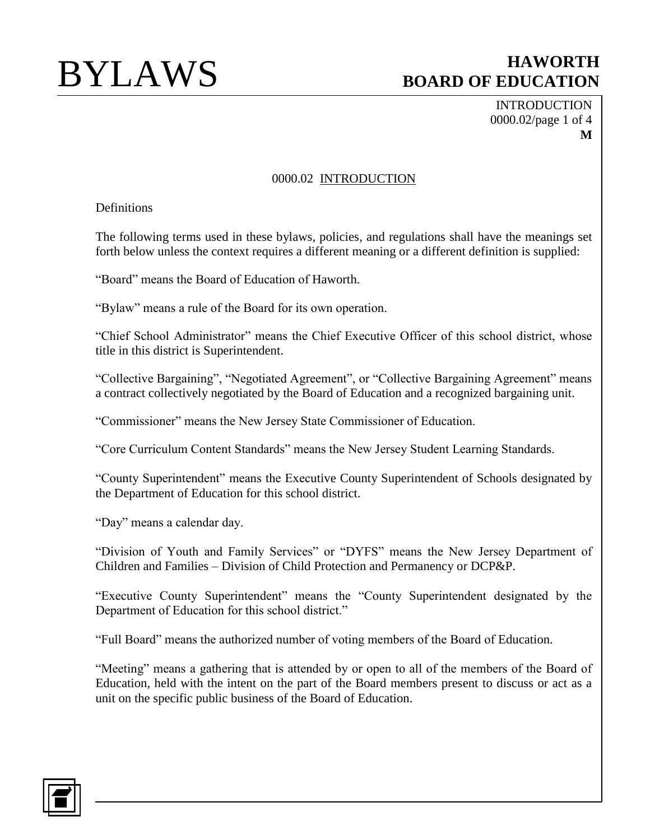INTRODUCTION 0000.02/page 1 of 4 **M**

## 0000.02 INTRODUCTION

Definitions

The following terms used in these bylaws, policies, and regulations shall have the meanings set forth below unless the context requires a different meaning or a different definition is supplied:

"Board" means the Board of Education of Haworth.

"Bylaw" means a rule of the Board for its own operation.

"Chief School Administrator" means the Chief Executive Officer of this school district, whose title in this district is Superintendent.

"Collective Bargaining", "Negotiated Agreement", or "Collective Bargaining Agreement" means a contract collectively negotiated by the Board of Education and a recognized bargaining unit.

"Commissioner" means the New Jersey State Commissioner of Education.

"Core Curriculum Content Standards" means the New Jersey Student Learning Standards.

"County Superintendent" means the Executive County Superintendent of Schools designated by the Department of Education for this school district.

"Day" means a calendar day.

"Division of Youth and Family Services" or "DYFS" means the New Jersey Department of Children and Families – Division of Child Protection and Permanency or DCP&P.

"Executive County Superintendent" means the "County Superintendent designated by the Department of Education for this school district."

"Full Board" means the authorized number of voting members of the Board of Education.

"Meeting" means a gathering that is attended by or open to all of the members of the Board of Education, held with the intent on the part of the Board members present to discuss or act as a unit on the specific public business of the Board of Education.

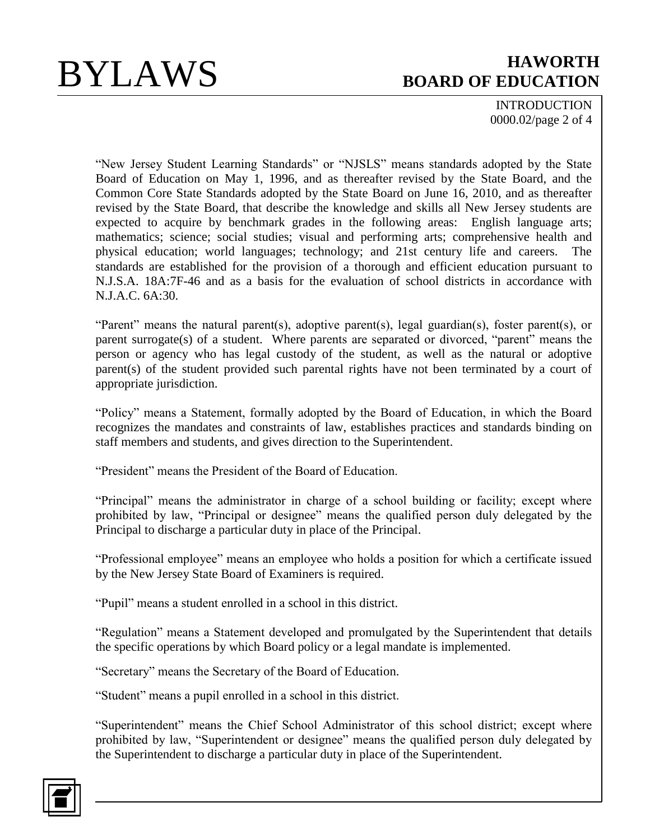INTRODUCTION 0000.02/page 2 of 4

"New Jersey Student Learning Standards" or "NJSLS" means standards adopted by the State Board of Education on May 1, 1996, and as thereafter revised by the State Board, and the Common Core State Standards adopted by the State Board on June 16, 2010, and as thereafter revised by the State Board, that describe the knowledge and skills all New Jersey students are expected to acquire by benchmark grades in the following areas: English language arts; mathematics; science; social studies; visual and performing arts; comprehensive health and physical education; world languages; technology; and 21st century life and careers. The standards are established for the provision of a thorough and efficient education pursuant to N.J.S.A. 18A:7F-46 and as a basis for the evaluation of school districts in accordance with N.J.A.C. 6A:30.

"Parent" means the natural parent(s), adoptive parent(s), legal guardian(s), foster parent(s), or parent surrogate(s) of a student. Where parents are separated or divorced, "parent" means the person or agency who has legal custody of the student, as well as the natural or adoptive parent(s) of the student provided such parental rights have not been terminated by a court of appropriate jurisdiction.

"Policy" means a Statement, formally adopted by the Board of Education, in which the Board recognizes the mandates and constraints of law, establishes practices and standards binding on staff members and students, and gives direction to the Superintendent.

"President" means the President of the Board of Education.

"Principal" means the administrator in charge of a school building or facility; except where prohibited by law, "Principal or designee" means the qualified person duly delegated by the Principal to discharge a particular duty in place of the Principal.

"Professional employee" means an employee who holds a position for which a certificate issued by the New Jersey State Board of Examiners is required.

"Pupil" means a student enrolled in a school in this district.

"Regulation" means a Statement developed and promulgated by the Superintendent that details the specific operations by which Board policy or a legal mandate is implemented.

"Secretary" means the Secretary of the Board of Education.

"Student" means a pupil enrolled in a school in this district.

"Superintendent" means the Chief School Administrator of this school district; except where prohibited by law, "Superintendent or designee" means the qualified person duly delegated by the Superintendent to discharge a particular duty in place of the Superintendent.

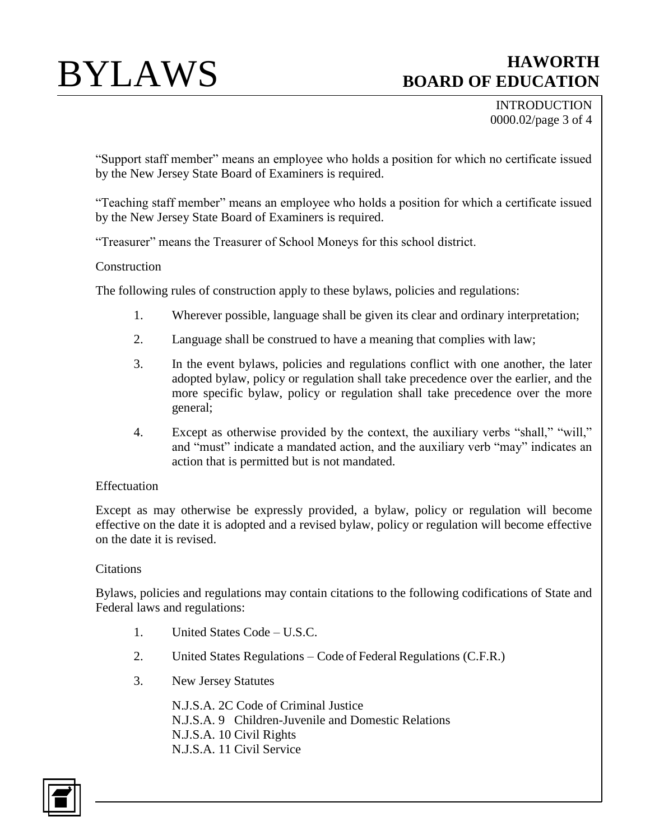INTRODUCTION 0000.02/page 3 of 4

"Support staff member" means an employee who holds a position for which no certificate issued by the New Jersey State Board of Examiners is required.

"Teaching staff member" means an employee who holds a position for which a certificate issued by the New Jersey State Board of Examiners is required.

"Treasurer" means the Treasurer of School Moneys for this school district.

## **Construction**

The following rules of construction apply to these bylaws, policies and regulations:

- 1. Wherever possible, language shall be given its clear and ordinary interpretation;
- 2. Language shall be construed to have a meaning that complies with law;
- 3. In the event bylaws, policies and regulations conflict with one another, the later adopted bylaw, policy or regulation shall take precedence over the earlier, and the more specific bylaw, policy or regulation shall take precedence over the more general;
- 4. Except as otherwise provided by the context, the auxiliary verbs "shall," "will," and "must" indicate a mandated action, and the auxiliary verb "may" indicates an action that is permitted but is not mandated.

### Effectuation

Except as may otherwise be expressly provided, a bylaw, policy or regulation will become effective on the date it is adopted and a revised bylaw, policy or regulation will become effective on the date it is revised.

### **Citations**

Bylaws, policies and regulations may contain citations to the following codifications of State and Federal laws and regulations:

- 1. United States Code U.S.C.
- 2. United States Regulations Code of Federal Regulations (C.F.R.)
- 3. New Jersey Statutes

N.J.S.A. 2C Code of Criminal Justice N.J.S.A. 9 Children-Juvenile and Domestic Relations N.J.S.A. 10 Civil Rights N.J.S.A. 11 Civil Service

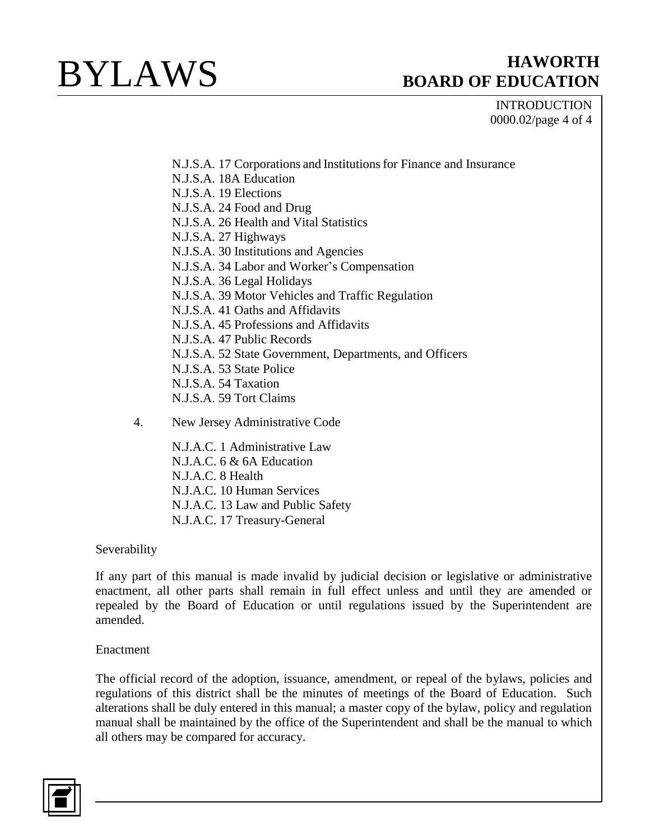## INTRODUCTION 0000.02/page 4 of 4

- N.J.S.A. 17 Corporations and Institutionsfor Finance and Insurance
- N.J.S.A. 18A Education
- N.J.S.A. 19 Elections
- N.J.S.A. 24 Food and Drug
- N.J.S.A. 26 Health and Vital Statistics
- N.J.S.A. 27 Highways
- N.J.S.A. 30 Institutions and Agencies
- N.J.S.A. 34 Labor and Worker's Compensation
- N.J.S.A. 36 Legal Holidays
- N.J.S.A. 39 Motor Vehicles and Traffic Regulation
- N.J.S.A. 41 Oaths and Affidavits
- N.J.S.A. 45 Professions and Affidavits
- N.J.S.A. 47 Public Records
- N.J.S.A. 52 State Government, Departments, and Officers
- N.J.S.A. 53 State Police
- N.J.S.A. 54 Taxation
- N.J.S.A. 59 Tort Claims
- 4. New Jersey Administrative Code

N.J.A.C. 1 Administrative Law N.J.A.C. 6 & 6A Education N.J.A.C. 8 Health N.J.A.C. 10 Human Services N.J.A.C. 13 Law and Public Safety N.J.A.C. 17 Treasury-General

## Severability

If any part of this manual is made invalid by judicial decision or legislative or administrative enactment, all other parts shall remain in full effect unless and until they are amended or repealed by the Board of Education or until regulations issued by the Superintendent are amended.

### Enactment

The official record of the adoption, issuance, amendment, or repeal of the bylaws, policies and regulations of this district shall be the minutes of meetings of the Board of Education. Such alterations shall be duly entered in this manual; a master copy of the bylaw, policy and regulation manual shall be maintained by the office of the Superintendent and shall be the manual to which all others may be compared for accuracy.

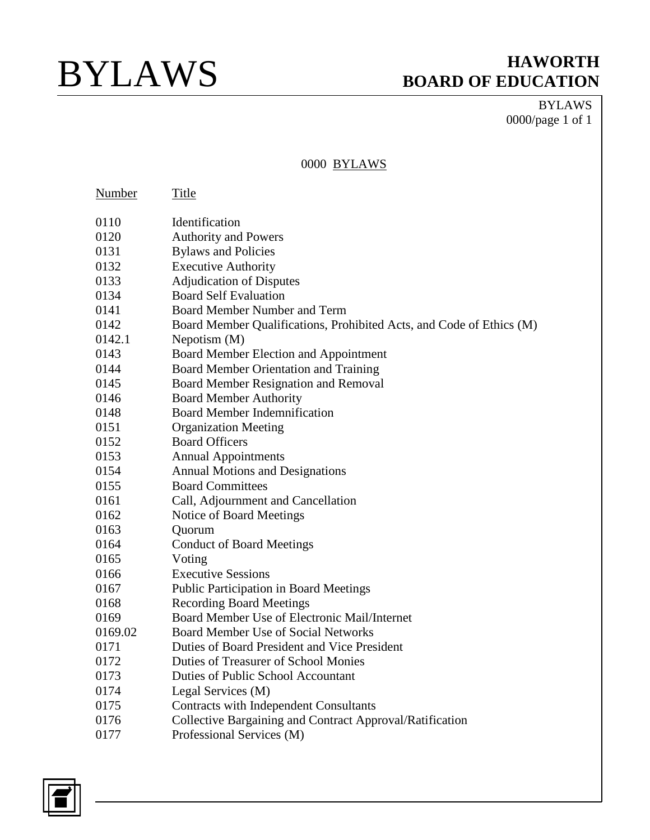BYLAWS 0000/page 1 of 1

### 0000 BYLAWS

| Number  | Title                                                                |
|---------|----------------------------------------------------------------------|
| 0110    | Identification                                                       |
| 0120    | <b>Authority and Powers</b>                                          |
| 0131    | <b>Bylaws and Policies</b>                                           |
| 0132    | <b>Executive Authority</b>                                           |
| 0133    | <b>Adjudication of Disputes</b>                                      |
| 0134    | <b>Board Self Evaluation</b>                                         |
| 0141    | <b>Board Member Number and Term</b>                                  |
| 0142    | Board Member Qualifications, Prohibited Acts, and Code of Ethics (M) |
| 0142.1  | Nepotism $(M)$                                                       |
| 0143    | Board Member Election and Appointment                                |
| 0144    | Board Member Orientation and Training                                |
| 0145    | Board Member Resignation and Removal                                 |
| 0146    | <b>Board Member Authority</b>                                        |
| 0148    | <b>Board Member Indemnification</b>                                  |
| 0151    | <b>Organization Meeting</b>                                          |
| 0152    | <b>Board Officers</b>                                                |
| 0153    | <b>Annual Appointments</b>                                           |
| 0154    | <b>Annual Motions and Designations</b>                               |
| 0155    | <b>Board Committees</b>                                              |
| 0161    | Call, Adjournment and Cancellation                                   |
| 0162    | Notice of Board Meetings                                             |
| 0163    | Quorum                                                               |
| 0164    | <b>Conduct of Board Meetings</b>                                     |
| 0165    | Voting                                                               |
| 0166    | <b>Executive Sessions</b>                                            |
| 0167    | Public Participation in Board Meetings                               |
| 0168    | <b>Recording Board Meetings</b>                                      |
| 0169    | Board Member Use of Electronic Mail/Internet                         |
| 0169.02 | <b>Board Member Use of Social Networks</b>                           |
| 0171    | Duties of Board President and Vice President                         |
| 0172    | Duties of Treasurer of School Monies                                 |
| 0173    | <b>Duties of Public School Accountant</b>                            |
| 0174    | Legal Services (M)                                                   |
| 0175    | <b>Contracts with Independent Consultants</b>                        |
| 0176    | Collective Bargaining and Contract Approval/Ratification             |
| 0177    | Professional Services (M)                                            |

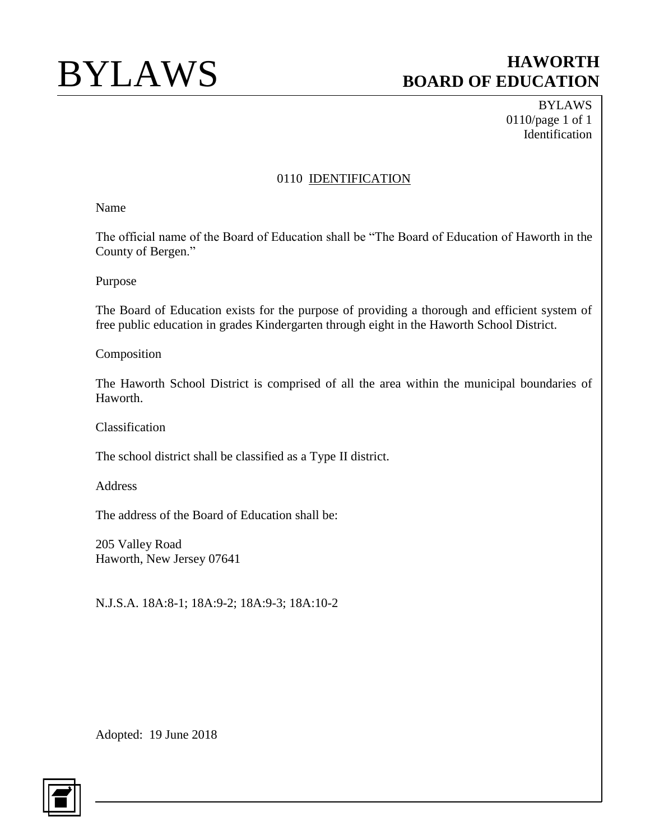BYLAWS 0110/page 1 of 1 Identification

## 0110 **IDENTIFICATION**

Name

The official name of the Board of Education shall be "The Board of Education of Haworth in the County of Bergen."

Purpose

The Board of Education exists for the purpose of providing a thorough and efficient system of free public education in grades Kindergarten through eight in the Haworth School District.

Composition

The Haworth School District is comprised of all the area within the municipal boundaries of Haworth.

Classification

The school district shall be classified as a Type II district.

Address

The address of the Board of Education shall be:

205 Valley Road Haworth, New Jersey 07641

N.J.S.A. 18A:8-1; 18A:9-2; 18A:9-3; 18A:10-2

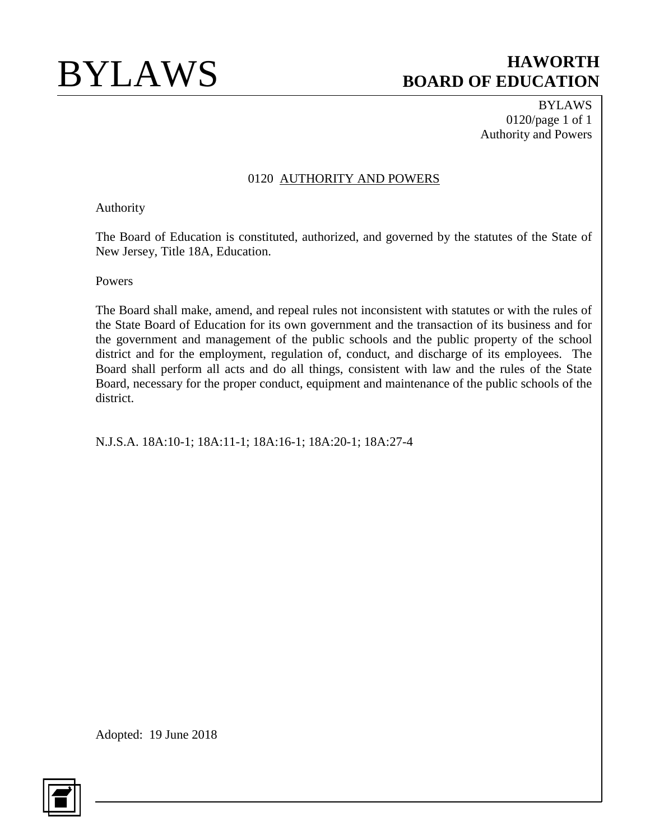BYLAWS 0120/page 1 of 1 Authority and Powers

### 0120 AUTHORITY AND POWERS

### Authority

The Board of Education is constituted, authorized, and governed by the statutes of the State of New Jersey, Title 18A, Education.

Powers

The Board shall make, amend, and repeal rules not inconsistent with statutes or with the rules of the State Board of Education for its own government and the transaction of its business and for the government and management of the public schools and the public property of the school district and for the employment, regulation of, conduct, and discharge of its employees. The Board shall perform all acts and do all things, consistent with law and the rules of the State Board, necessary for the proper conduct, equipment and maintenance of the public schools of the district.

N.J.S.A. 18A:10-1; 18A:11-1; 18A:16-1; 18A:20-1; 18A:27-4

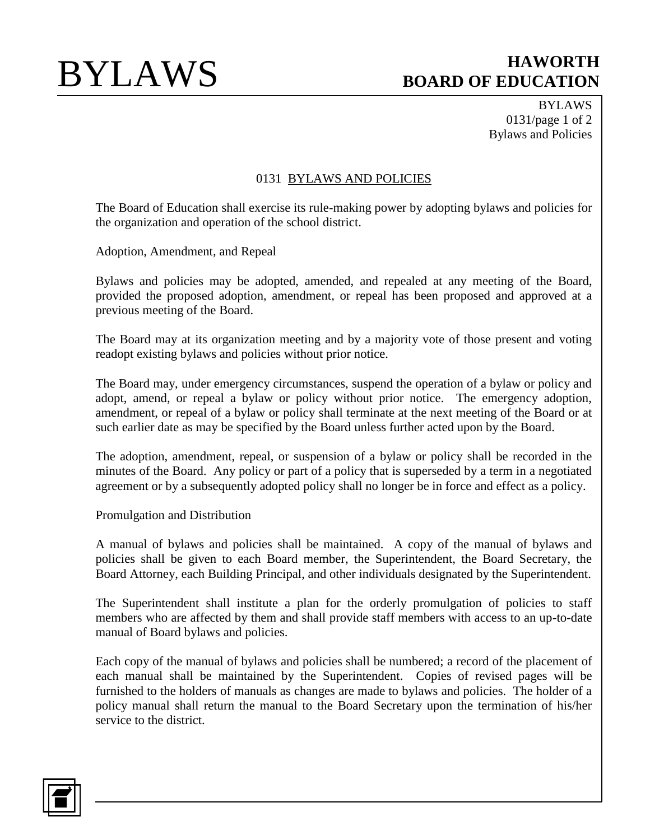BYLAWS 0131/page 1 of 2 Bylaws and Policies

### 0131 BYLAWS AND POLICIES

The Board of Education shall exercise its rule-making power by adopting bylaws and policies for the organization and operation of the school district.

Adoption, Amendment, and Repeal

Bylaws and policies may be adopted, amended, and repealed at any meeting of the Board, provided the proposed adoption, amendment, or repeal has been proposed and approved at a previous meeting of the Board.

The Board may at its organization meeting and by a majority vote of those present and voting readopt existing bylaws and policies without prior notice.

The Board may, under emergency circumstances, suspend the operation of a bylaw or policy and adopt, amend, or repeal a bylaw or policy without prior notice. The emergency adoption, amendment, or repeal of a bylaw or policy shall terminate at the next meeting of the Board or at such earlier date as may be specified by the Board unless further acted upon by the Board.

The adoption, amendment, repeal, or suspension of a bylaw or policy shall be recorded in the minutes of the Board. Any policy or part of a policy that is superseded by a term in a negotiated agreement or by a subsequently adopted policy shall no longer be in force and effect as a policy.

Promulgation and Distribution

A manual of bylaws and policies shall be maintained. A copy of the manual of bylaws and policies shall be given to each Board member, the Superintendent, the Board Secretary, the Board Attorney, each Building Principal, and other individuals designated by the Superintendent.

The Superintendent shall institute a plan for the orderly promulgation of policies to staff members who are affected by them and shall provide staff members with access to an up-to-date manual of Board bylaws and policies.

Each copy of the manual of bylaws and policies shall be numbered; a record of the placement of each manual shall be maintained by the Superintendent. Copies of revised pages will be furnished to the holders of manuals as changes are made to bylaws and policies. The holder of a policy manual shall return the manual to the Board Secretary upon the termination of his/her service to the district.

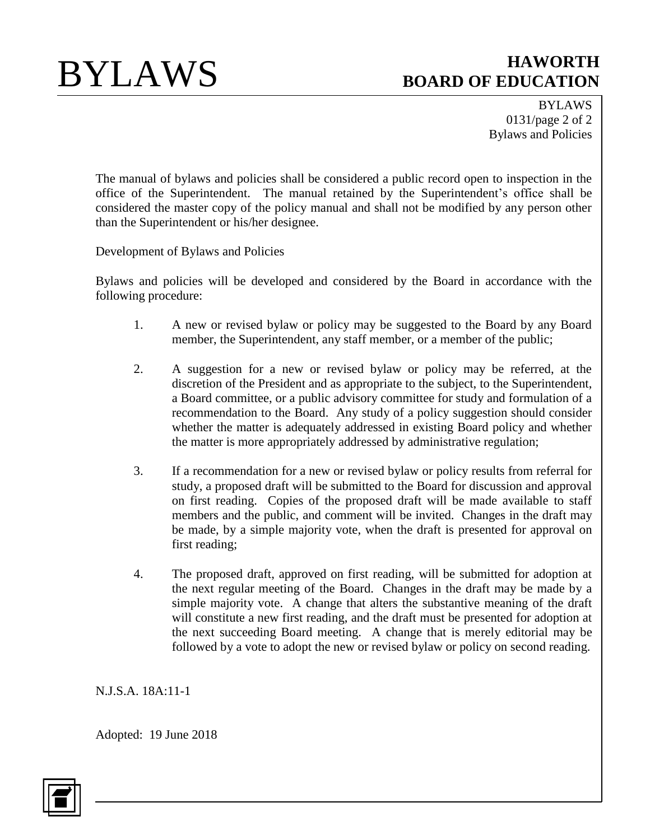BYLAWS 0131/page 2 of 2 Bylaws and Policies

The manual of bylaws and policies shall be considered a public record open to inspection in the office of the Superintendent. The manual retained by the Superintendent's office shall be considered the master copy of the policy manual and shall not be modified by any person other than the Superintendent or his/her designee.

Development of Bylaws and Policies

Bylaws and policies will be developed and considered by the Board in accordance with the following procedure:

- 1. A new or revised bylaw or policy may be suggested to the Board by any Board member, the Superintendent, any staff member, or a member of the public;
- 2. A suggestion for a new or revised bylaw or policy may be referred, at the discretion of the President and as appropriate to the subject, to the Superintendent, a Board committee, or a public advisory committee for study and formulation of a recommendation to the Board. Any study of a policy suggestion should consider whether the matter is adequately addressed in existing Board policy and whether the matter is more appropriately addressed by administrative regulation;
- 3. If a recommendation for a new or revised bylaw or policy results from referral for study, a proposed draft will be submitted to the Board for discussion and approval on first reading. Copies of the proposed draft will be made available to staff members and the public, and comment will be invited. Changes in the draft may be made, by a simple majority vote, when the draft is presented for approval on first reading;
- 4. The proposed draft, approved on first reading, will be submitted for adoption at the next regular meeting of the Board. Changes in the draft may be made by a simple majority vote. A change that alters the substantive meaning of the draft will constitute a new first reading, and the draft must be presented for adoption at the next succeeding Board meeting. A change that is merely editorial may be followed by a vote to adopt the new or revised bylaw or policy on second reading.

N.J.S.A. 18A:11-1

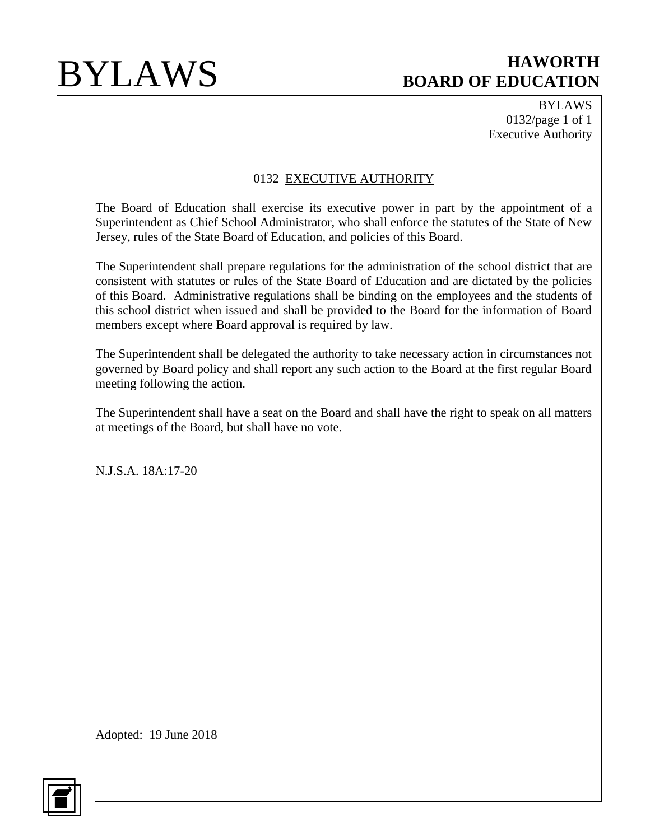BYLAWS 0132/page 1 of 1 Executive Authority

## 0132 EXECUTIVE AUTHORITY

The Board of Education shall exercise its executive power in part by the appointment of a Superintendent as Chief School Administrator, who shall enforce the statutes of the State of New Jersey, rules of the State Board of Education, and policies of this Board.

The Superintendent shall prepare regulations for the administration of the school district that are consistent with statutes or rules of the State Board of Education and are dictated by the policies of this Board. Administrative regulations shall be binding on the employees and the students of this school district when issued and shall be provided to the Board for the information of Board members except where Board approval is required by law.

The Superintendent shall be delegated the authority to take necessary action in circumstances not governed by Board policy and shall report any such action to the Board at the first regular Board meeting following the action.

The Superintendent shall have a seat on the Board and shall have the right to speak on all matters at meetings of the Board, but shall have no vote.

N.J.S.A. 18A:17-20

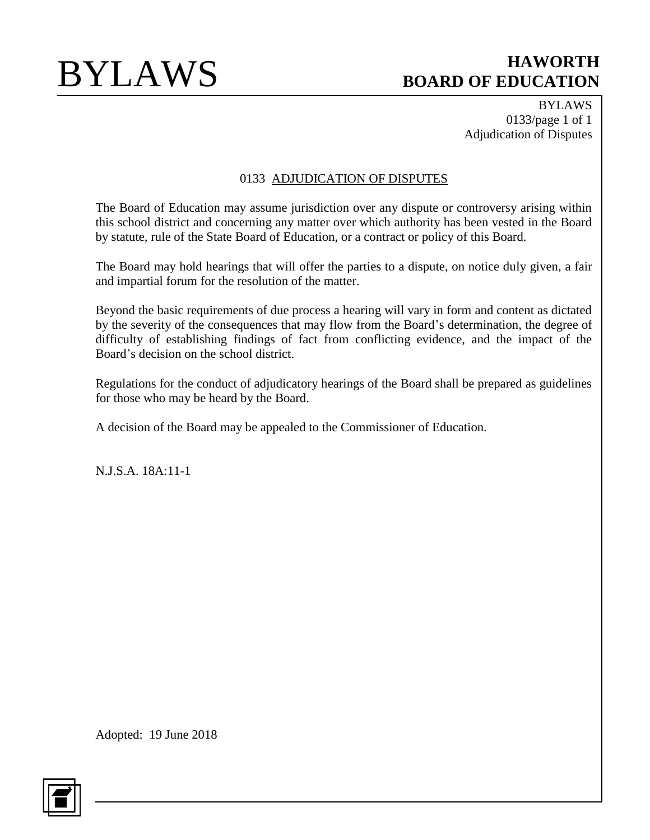BYLAWS 0133/page 1 of 1 Adjudication of Disputes

## 0133 ADJUDICATION OF DISPUTES

The Board of Education may assume jurisdiction over any dispute or controversy arising within this school district and concerning any matter over which authority has been vested in the Board by statute, rule of the State Board of Education, or a contract or policy of this Board.

The Board may hold hearings that will offer the parties to a dispute, on notice duly given, a fair and impartial forum for the resolution of the matter.

Beyond the basic requirements of due process a hearing will vary in form and content as dictated by the severity of the consequences that may flow from the Board's determination, the degree of difficulty of establishing findings of fact from conflicting evidence, and the impact of the Board's decision on the school district.

Regulations for the conduct of adjudicatory hearings of the Board shall be prepared as guidelines for those who may be heard by the Board.

A decision of the Board may be appealed to the Commissioner of Education.

N.J.S.A. 18A:11-1

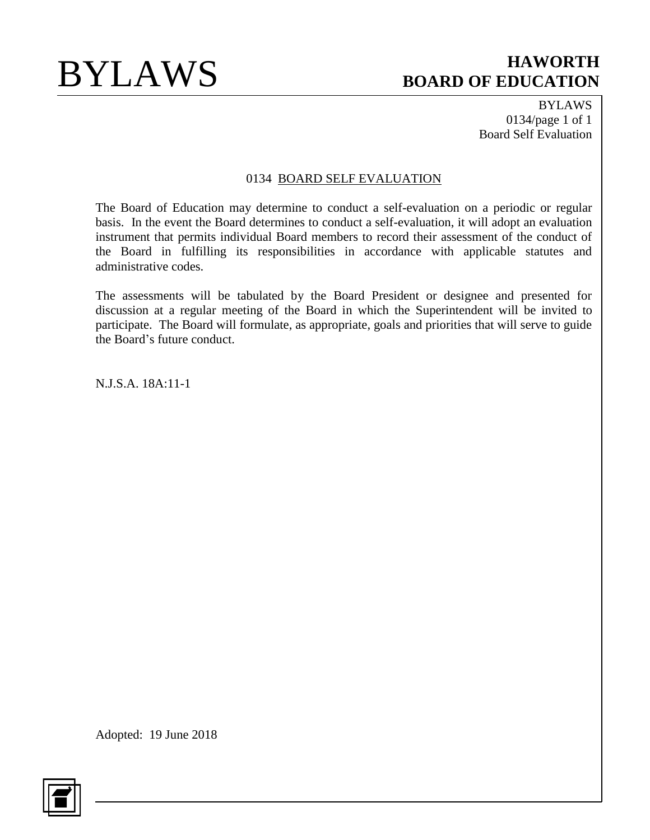BYLAWS 0134/page 1 of 1 Board Self Evaluation

## 0134 BOARD SELF EVALUATION

The Board of Education may determine to conduct a self-evaluation on a periodic or regular basis. In the event the Board determines to conduct a self-evaluation, it will adopt an evaluation instrument that permits individual Board members to record their assessment of the conduct of the Board in fulfilling its responsibilities in accordance with applicable statutes and administrative codes.

The assessments will be tabulated by the Board President or designee and presented for discussion at a regular meeting of the Board in which the Superintendent will be invited to participate. The Board will formulate, as appropriate, goals and priorities that will serve to guide the Board's future conduct.

N.J.S.A. 18A:11-1

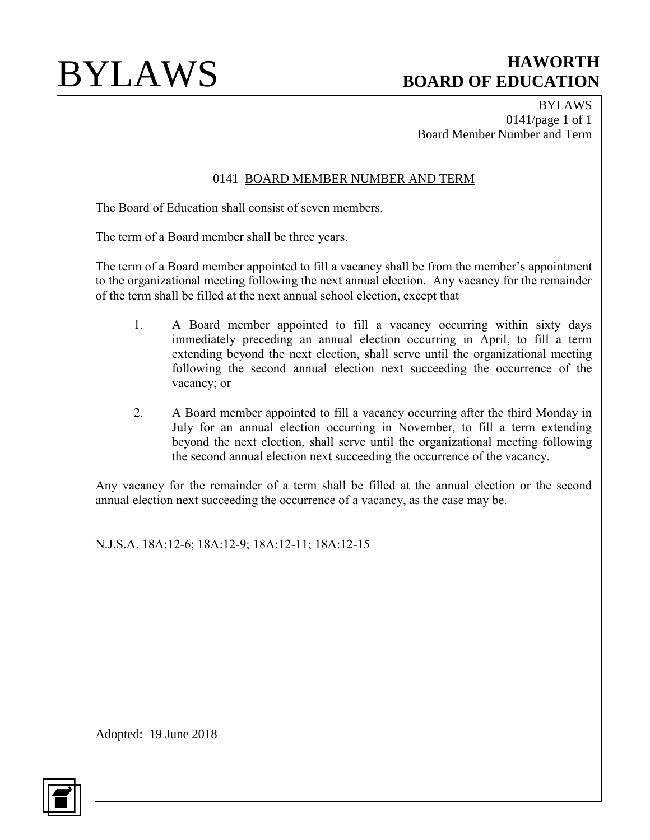BYLAWS 0141/page 1 of 1 Board Member Number and Term

## 0141 BOARD MEMBER NUMBER AND TERM

The Board of Education shall consist of seven members.

The term of a Board member shall be three years.

The term of a Board member appointed to fill a vacancy shall be from the member's appointment to the organizational meeting following the next annual election. Any vacancy for the remainder of the term shall be filled at the next annual school election, except that

- 1. A Board member appointed to fill a vacancy occurring within sixty days immediately preceding an annual election occurring in April, to fill a term extending beyond the next election, shall serve until the organizational meeting following the second annual election next succeeding the occurrence of the vacancy; or
- 2. A Board member appointed to fill a vacancy occurring after the third Monday in July for an annual election occurring in November, to fill a term extending beyond the next election, shall serve until the organizational meeting following the second annual election next succeeding the occurrence of the vacancy.

Any vacancy for the remainder of a term shall be filled at the annual election or the second annual election next succeeding the occurrence of a vacancy, as the case may be.

N.J.S.A. 18A:12-6; 18A:12-9; 18A:12-11; 18A:12-15

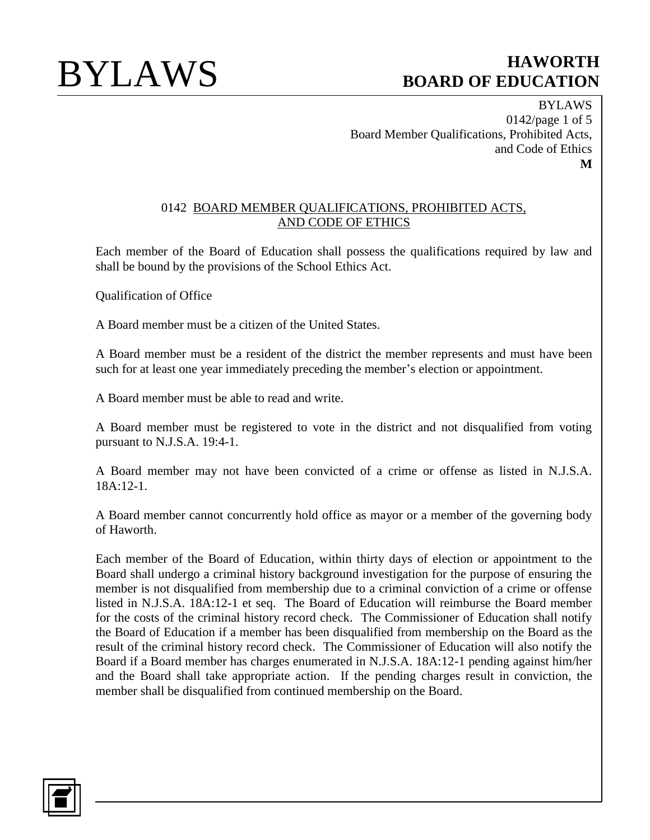BYLAWS 0142/page 1 of 5 Board Member Qualifications, Prohibited Acts, and Code of Ethics **M**

### 0142 BOARD MEMBER QUALIFICATIONS, PROHIBITED ACTS, AND CODE OF ETHICS

Each member of the Board of Education shall possess the qualifications required by law and shall be bound by the provisions of the School Ethics Act.

Qualification of Office

A Board member must be a citizen of the United States.

A Board member must be a resident of the district the member represents and must have been such for at least one year immediately preceding the member's election or appointment.

A Board member must be able to read and write.

A Board member must be registered to vote in the district and not disqualified from voting pursuant to N.J.S.A. 19:4-1.

A Board member may not have been convicted of a crime or offense as listed in N.J.S.A. 18A:12-1.

A Board member cannot concurrently hold office as mayor or a member of the governing body of Haworth.

Each member of the Board of Education, within thirty days of election or appointment to the Board shall undergo a criminal history background investigation for the purpose of ensuring the member is not disqualified from membership due to a criminal conviction of a crime or offense listed in N.J.S.A. 18A:12-1 et seq. The Board of Education will reimburse the Board member for the costs of the criminal history record check. The Commissioner of Education shall notify the Board of Education if a member has been disqualified from membership on the Board as the result of the criminal history record check. The Commissioner of Education will also notify the Board if a Board member has charges enumerated in N.J.S.A. 18A:12-1 pending against him/her and the Board shall take appropriate action. If the pending charges result in conviction, the member shall be disqualified from continued membership on the Board.

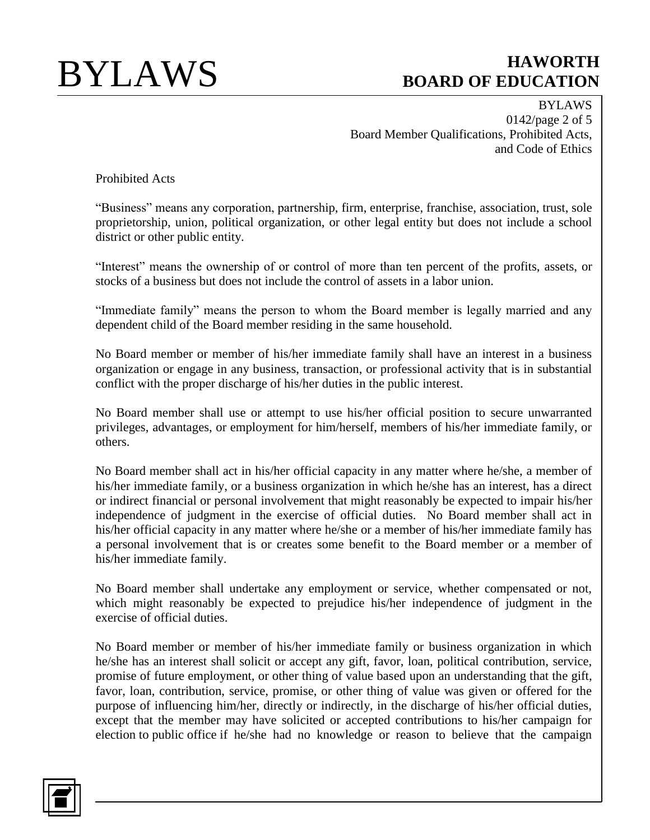BYLAWS 0142/page 2 of 5 Board Member Qualifications, Prohibited Acts, and Code of Ethics

Prohibited Acts

"Business" means any corporation, partnership, firm, enterprise, franchise, association, trust, sole proprietorship, union, political organization, or other legal entity but does not include a school district or other public entity.

"Interest" means the ownership of or control of more than ten percent of the profits, assets, or stocks of a business but does not include the control of assets in a labor union.

"Immediate family" means the person to whom the Board member is legally married and any dependent child of the Board member residing in the same household.

No Board member or member of his/her immediate family shall have an interest in a business organization or engage in any business, transaction, or professional activity that is in substantial conflict with the proper discharge of his/her duties in the public interest.

No Board member shall use or attempt to use his/her official position to secure unwarranted privileges, advantages, or employment for him/herself, members of his/her immediate family, or others.

No Board member shall act in his/her official capacity in any matter where he/she, a member of his/her immediate family, or a business organization in which he/she has an interest, has a direct or indirect financial or personal involvement that might reasonably be expected to impair his/her independence of judgment in the exercise of official duties. No Board member shall act in his/her official capacity in any matter where he/she or a member of his/her immediate family has a personal involvement that is or creates some benefit to the Board member or a member of his/her immediate family.

No Board member shall undertake any employment or service, whether compensated or not, which might reasonably be expected to prejudice his/her independence of judgment in the exercise of official duties.

No Board member or member of his/her immediate family or business organization in which he/she has an interest shall solicit or accept any gift, favor, loan, political contribution, service, promise of future employment, or other thing of value based upon an understanding that the gift, favor, loan, contribution, service, promise, or other thing of value was given or offered for the purpose of influencing him/her, directly or indirectly, in the discharge of his/her official duties, except that the member may have solicited or accepted contributions to his/her campaign for election to public office if he/she had no knowledge or reason to believe that the campaign

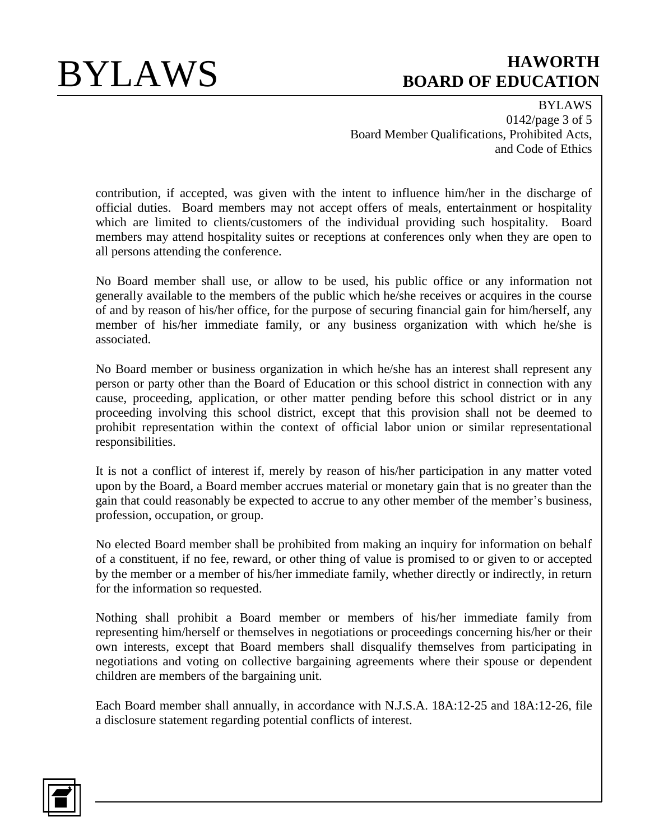BYLAWS 0142/page 3 of 5 Board Member Qualifications, Prohibited Acts, and Code of Ethics

contribution, if accepted, was given with the intent to influence him/her in the discharge of official duties. Board members may not accept offers of meals, entertainment or hospitality which are limited to clients/customers of the individual providing such hospitality. Board members may attend hospitality suites or receptions at conferences only when they are open to all persons attending the conference.

No Board member shall use, or allow to be used, his public office or any information not generally available to the members of the public which he/she receives or acquires in the course of and by reason of his/her office, for the purpose of securing financial gain for him/herself, any member of his/her immediate family, or any business organization with which he/she is associated.

No Board member or business organization in which he/she has an interest shall represent any person or party other than the Board of Education or this school district in connection with any cause, proceeding, application, or other matter pending before this school district or in any proceeding involving this school district, except that this provision shall not be deemed to prohibit representation within the context of official labor union or similar representational responsibilities.

It is not a conflict of interest if, merely by reason of his/her participation in any matter voted upon by the Board, a Board member accrues material or monetary gain that is no greater than the gain that could reasonably be expected to accrue to any other member of the member's business, profession, occupation, or group.

No elected Board member shall be prohibited from making an inquiry for information on behalf of a constituent, if no fee, reward, or other thing of value is promised to or given to or accepted by the member or a member of his/her immediate family, whether directly or indirectly, in return for the information so requested.

Nothing shall prohibit a Board member or members of his/her immediate family from representing him/herself or themselves in negotiations or proceedings concerning his/her or their own interests, except that Board members shall disqualify themselves from participating in negotiations and voting on collective bargaining agreements where their spouse or dependent children are members of the bargaining unit.

Each Board member shall annually, in accordance with N.J.S.A. 18A:12-25 and 18A:12-26, file a disclosure statement regarding potential conflicts of interest.

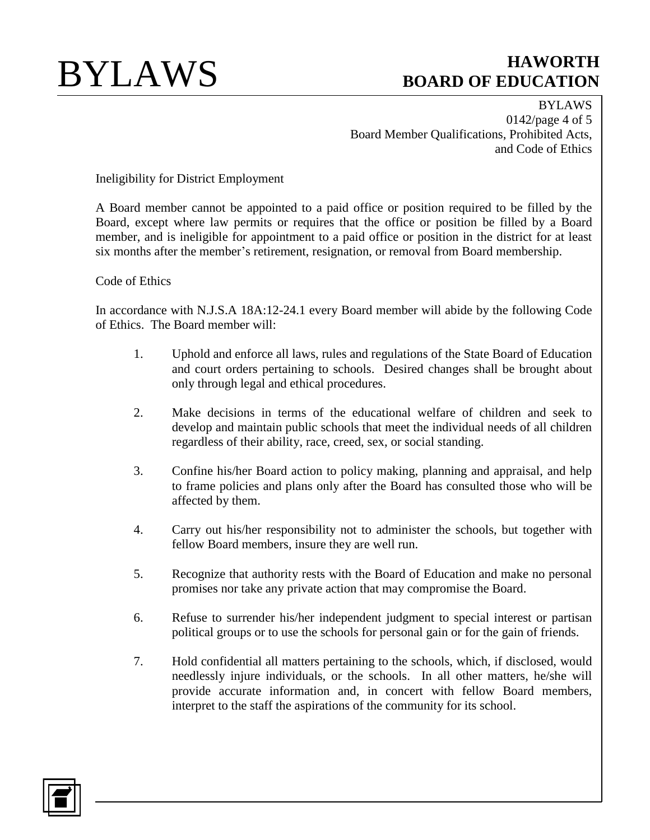BYLAWS 0142/page 4 of 5 Board Member Qualifications, Prohibited Acts, and Code of Ethics

Ineligibility for District Employment

A Board member cannot be appointed to a paid office or position required to be filled by the Board, except where law permits or requires that the office or position be filled by a Board member, and is ineligible for appointment to a paid office or position in the district for at least six months after the member's retirement, resignation, or removal from Board membership.

## Code of Ethics

In accordance with N.J.S.A 18A:12-24.1 every Board member will abide by the following Code of Ethics. The Board member will:

- 1. Uphold and enforce all laws, rules and regulations of the State Board of Education and court orders pertaining to schools. Desired changes shall be brought about only through legal and ethical procedures.
- 2. Make decisions in terms of the educational welfare of children and seek to develop and maintain public schools that meet the individual needs of all children regardless of their ability, race, creed, sex, or social standing.
- 3. Confine his/her Board action to policy making, planning and appraisal, and help to frame policies and plans only after the Board has consulted those who will be affected by them.
- 4. Carry out his/her responsibility not to administer the schools, but together with fellow Board members, insure they are well run.
- 5. Recognize that authority rests with the Board of Education and make no personal promises nor take any private action that may compromise the Board.
- 6. Refuse to surrender his/her independent judgment to special interest or partisan political groups or to use the schools for personal gain or for the gain of friends.
- 7. Hold confidential all matters pertaining to the schools, which, if disclosed, would needlessly injure individuals, or the schools. In all other matters, he/she will provide accurate information and, in concert with fellow Board members, interpret to the staff the aspirations of the community for its school.

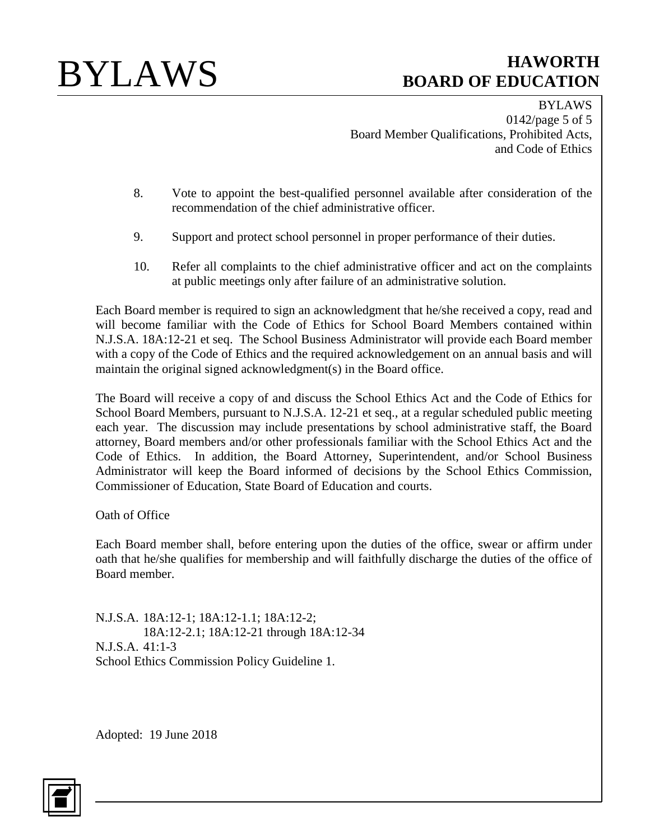BYLAWS 0142/page 5 of 5 Board Member Qualifications, Prohibited Acts, and Code of Ethics

- 8. Vote to appoint the best-qualified personnel available after consideration of the recommendation of the chief administrative officer.
- 9. Support and protect school personnel in proper performance of their duties.
- 10. Refer all complaints to the chief administrative officer and act on the complaints at public meetings only after failure of an administrative solution.

Each Board member is required to sign an acknowledgment that he/she received a copy, read and will become familiar with the Code of Ethics for School Board Members contained within N.J.S.A. 18A:12-21 et seq. The School Business Administrator will provide each Board member with a copy of the Code of Ethics and the required acknowledgement on an annual basis and will maintain the original signed acknowledgment(s) in the Board office.

The Board will receive a copy of and discuss the School Ethics Act and the Code of Ethics for School Board Members, pursuant to N.J.S.A. 12-21 et seq., at a regular scheduled public meeting each year. The discussion may include presentations by school administrative staff, the Board attorney, Board members and/or other professionals familiar with the School Ethics Act and the Code of Ethics. In addition, the Board Attorney, Superintendent, and/or School Business Administrator will keep the Board informed of decisions by the School Ethics Commission, Commissioner of Education, State Board of Education and courts.

Oath of Office

Each Board member shall, before entering upon the duties of the office, swear or affirm under oath that he/she qualifies for membership and will faithfully discharge the duties of the office of Board member.

N.J.S.A. 18A:12-1; 18A:12-1.1; 18A:12-2; 18A:12-2.1; 18A:12-21 through 18A:12-34 N.J.S.A. 41:1-3 School Ethics Commission Policy Guideline 1.

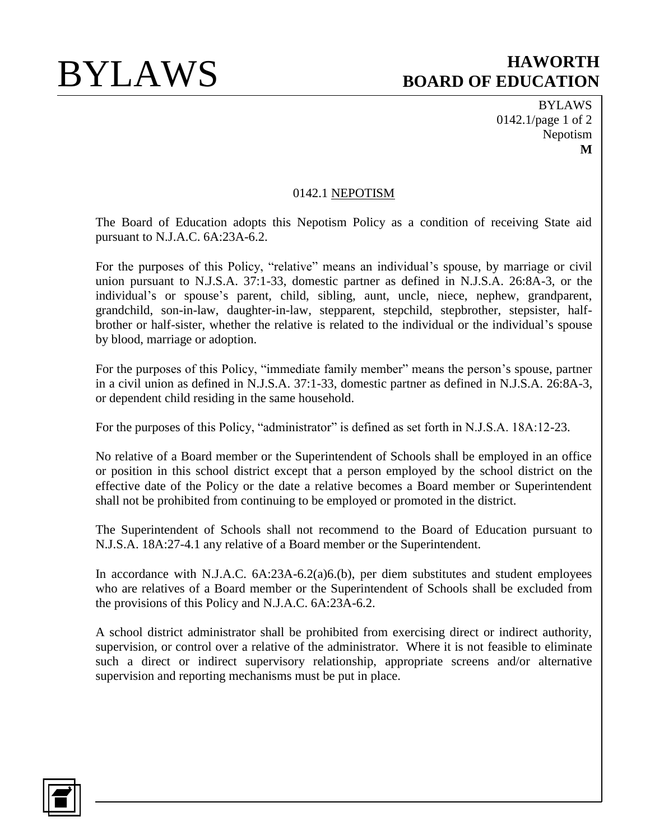BYLAWS 0142.1/page 1 of 2 Nepotism **M**

### 0142.1 NEPOTISM

The Board of Education adopts this Nepotism Policy as a condition of receiving State aid pursuant to N.J.A.C. 6A:23A-6.2.

For the purposes of this Policy, "relative" means an individual's spouse, by marriage or civil union pursuant to N.J.S.A. 37:1-33, domestic partner as defined in N.J.S.A. 26:8A-3, or the individual's or spouse's parent, child, sibling, aunt, uncle, niece, nephew, grandparent, grandchild, son-in-law, daughter-in-law, stepparent, stepchild, stepbrother, stepsister, halfbrother or half-sister, whether the relative is related to the individual or the individual's spouse by blood, marriage or adoption.

For the purposes of this Policy, "immediate family member" means the person's spouse, partner in a civil union as defined in N.J.S.A. 37:1-33, domestic partner as defined in N.J.S.A. 26:8A-3, or dependent child residing in the same household.

For the purposes of this Policy, "administrator" is defined as set forth in N.J.S.A. 18A:12-23.

No relative of a Board member or the Superintendent of Schools shall be employed in an office or position in this school district except that a person employed by the school district on the effective date of the Policy or the date a relative becomes a Board member or Superintendent shall not be prohibited from continuing to be employed or promoted in the district.

The Superintendent of Schools shall not recommend to the Board of Education pursuant to N.J.S.A. 18A:27-4.1 any relative of a Board member or the Superintendent.

In accordance with N.J.A.C. 6A:23A-6.2(a)6.(b), per diem substitutes and student employees who are relatives of a Board member or the Superintendent of Schools shall be excluded from the provisions of this Policy and N.J.A.C. 6A:23A-6.2.

A school district administrator shall be prohibited from exercising direct or indirect authority, supervision, or control over a relative of the administrator. Where it is not feasible to eliminate such a direct or indirect supervisory relationship, appropriate screens and/or alternative supervision and reporting mechanisms must be put in place.

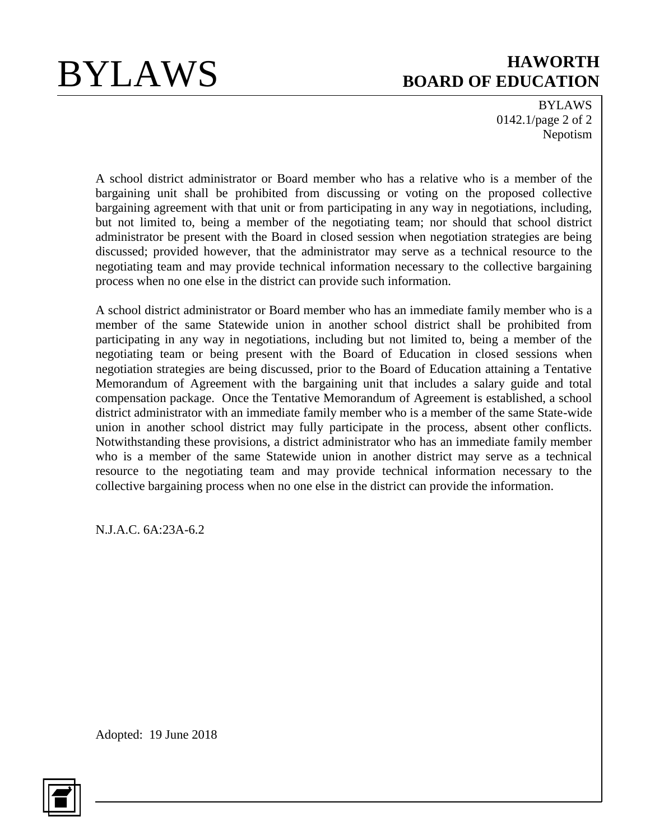BYLAWS 0142.1/page 2 of 2 Nepotism

A school district administrator or Board member who has a relative who is a member of the bargaining unit shall be prohibited from discussing or voting on the proposed collective bargaining agreement with that unit or from participating in any way in negotiations, including, but not limited to, being a member of the negotiating team; nor should that school district administrator be present with the Board in closed session when negotiation strategies are being discussed; provided however, that the administrator may serve as a technical resource to the negotiating team and may provide technical information necessary to the collective bargaining process when no one else in the district can provide such information.

A school district administrator or Board member who has an immediate family member who is a member of the same Statewide union in another school district shall be prohibited from participating in any way in negotiations, including but not limited to, being a member of the negotiating team or being present with the Board of Education in closed sessions when negotiation strategies are being discussed, prior to the Board of Education attaining a Tentative Memorandum of Agreement with the bargaining unit that includes a salary guide and total compensation package. Once the Tentative Memorandum of Agreement is established, a school district administrator with an immediate family member who is a member of the same State-wide union in another school district may fully participate in the process, absent other conflicts. Notwithstanding these provisions, a district administrator who has an immediate family member who is a member of the same Statewide union in another district may serve as a technical resource to the negotiating team and may provide technical information necessary to the collective bargaining process when no one else in the district can provide the information.

N.J.A.C. 6A:23A-6.2

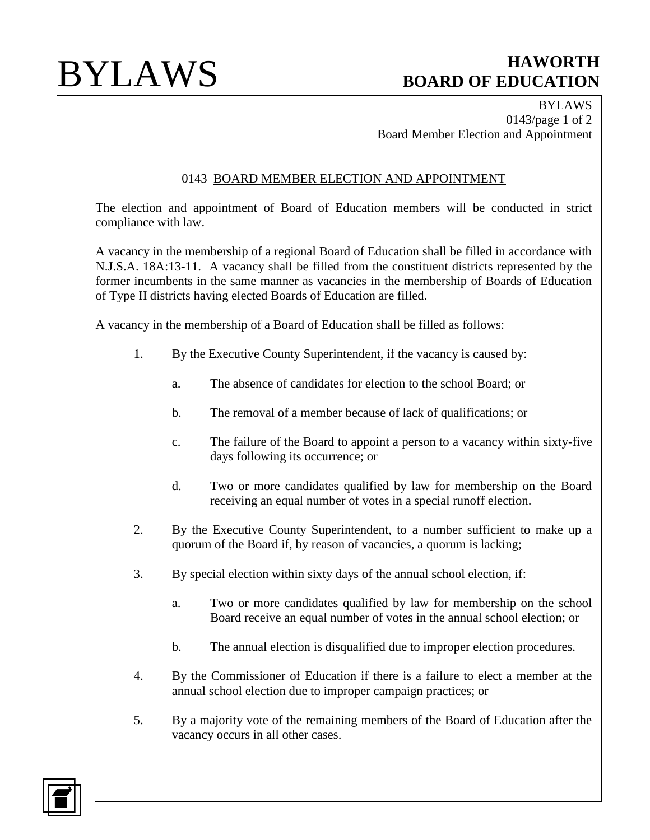BYLAWS 0143/page 1 of 2 Board Member Election and Appointment

## 0143 BOARD MEMBER ELECTION AND APPOINTMENT

The election and appointment of Board of Education members will be conducted in strict compliance with law.

A vacancy in the membership of a regional Board of Education shall be filled in accordance with N.J.S.A. 18A:13-11. A vacancy shall be filled from the constituent districts represented by the former incumbents in the same manner as vacancies in the membership of Boards of Education of Type II districts having elected Boards of Education are filled.

A vacancy in the membership of a Board of Education shall be filled as follows:

- 1. By the Executive County Superintendent, if the vacancy is caused by:
	- a. The absence of candidates for election to the school Board; or
	- b. The removal of a member because of lack of qualifications; or
	- c. The failure of the Board to appoint a person to a vacancy within sixty-five days following its occurrence; or
	- d. Two or more candidates qualified by law for membership on the Board receiving an equal number of votes in a special runoff election.
- 2. By the Executive County Superintendent, to a number sufficient to make up a quorum of the Board if, by reason of vacancies, a quorum is lacking;
- 3. By special election within sixty days of the annual school election, if:
	- a. Two or more candidates qualified by law for membership on the school Board receive an equal number of votes in the annual school election; or
	- b. The annual election is disqualified due to improper election procedures.
- 4. By the Commissioner of Education if there is a failure to elect a member at the annual school election due to improper campaign practices; or
- 5. By a majority vote of the remaining members of the Board of Education after the vacancy occurs in all other cases.

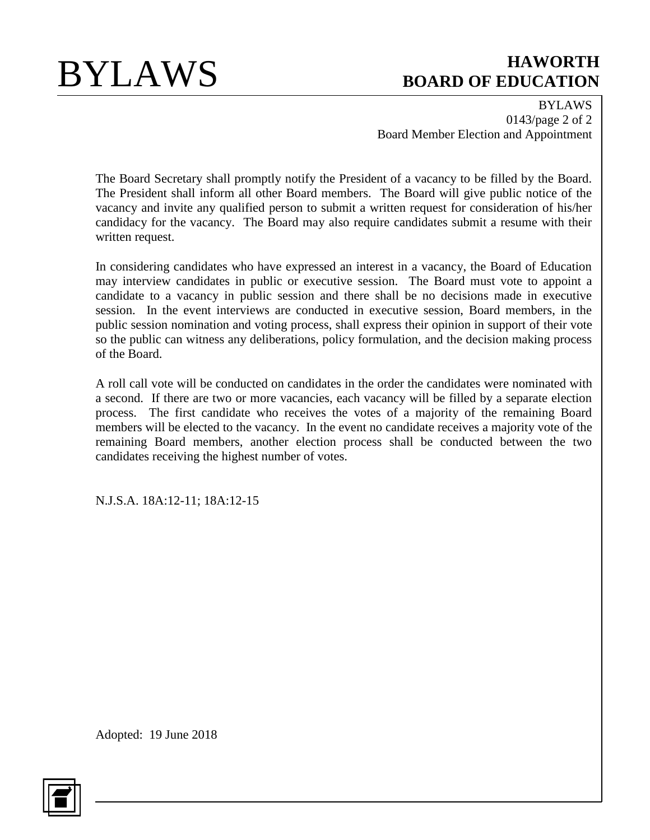BYLAWS 0143/page 2 of 2 Board Member Election and Appointment

The Board Secretary shall promptly notify the President of a vacancy to be filled by the Board. The President shall inform all other Board members. The Board will give public notice of the vacancy and invite any qualified person to submit a written request for consideration of his/her candidacy for the vacancy. The Board may also require candidates submit a resume with their written request.

In considering candidates who have expressed an interest in a vacancy, the Board of Education may interview candidates in public or executive session. The Board must vote to appoint a candidate to a vacancy in public session and there shall be no decisions made in executive session. In the event interviews are conducted in executive session, Board members, in the public session nomination and voting process, shall express their opinion in support of their vote so the public can witness any deliberations, policy formulation, and the decision making process of the Board.

A roll call vote will be conducted on candidates in the order the candidates were nominated with a second. If there are two or more vacancies, each vacancy will be filled by a separate election process. The first candidate who receives the votes of a majority of the remaining Board members will be elected to the vacancy. In the event no candidate receives a majority vote of the remaining Board members, another election process shall be conducted between the two candidates receiving the highest number of votes.

N.J.S.A. 18A:12-11; 18A:12-15

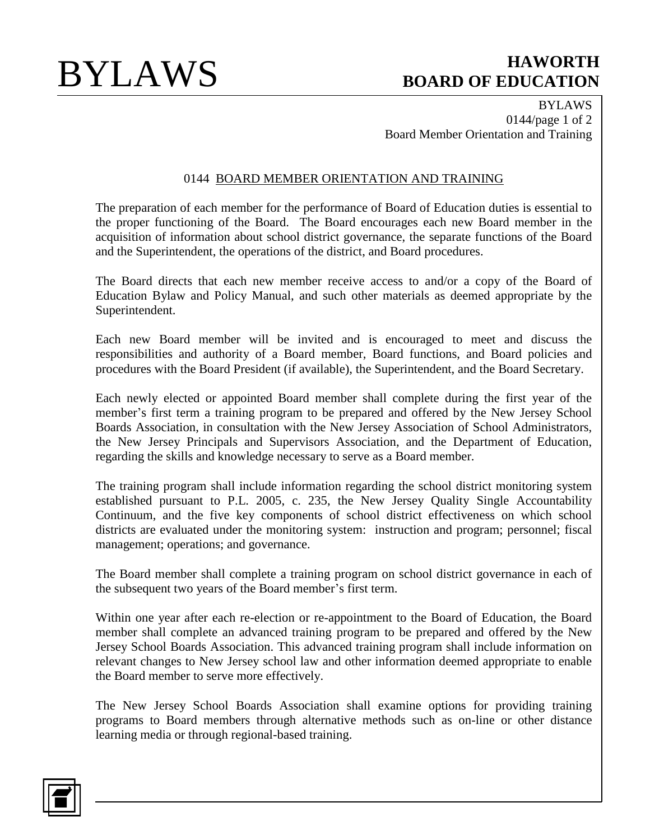BYLAWS 0144/page 1 of 2 Board Member Orientation and Training

### 0144 BOARD MEMBER ORIENTATION AND TRAINING

The preparation of each member for the performance of Board of Education duties is essential to the proper functioning of the Board. The Board encourages each new Board member in the acquisition of information about school district governance, the separate functions of the Board and the Superintendent, the operations of the district, and Board procedures.

The Board directs that each new member receive access to and/or a copy of the Board of Education Bylaw and Policy Manual, and such other materials as deemed appropriate by the Superintendent.

Each new Board member will be invited and is encouraged to meet and discuss the responsibilities and authority of a Board member, Board functions, and Board policies and procedures with the Board President (if available), the Superintendent, and the Board Secretary.

Each newly elected or appointed Board member shall complete during the first year of the member's first term a training program to be prepared and offered by the New Jersey School Boards Association, in consultation with the New Jersey Association of School Administrators, the New Jersey Principals and Supervisors Association, and the Department of Education, regarding the skills and knowledge necessary to serve as a Board member.

The training program shall include information regarding the school district monitoring system established pursuant to P.L. 2005, c. 235, the New Jersey Quality Single Accountability Continuum, and the five key components of school district effectiveness on which school districts are evaluated under the monitoring system: instruction and program; personnel; fiscal management; operations; and governance.

The Board member shall complete a training program on school district governance in each of the subsequent two years of the Board member's first term.

Within one year after each re-election or re-appointment to the Board of Education, the Board member shall complete an advanced training program to be prepared and offered by the New Jersey School Boards Association. This advanced training program shall include information on relevant changes to New Jersey school law and other information deemed appropriate to enable the Board member to serve more effectively.

The New Jersey School Boards Association shall examine options for providing training programs to Board members through alternative methods such as on-line or other distance learning media or through regional-based training.

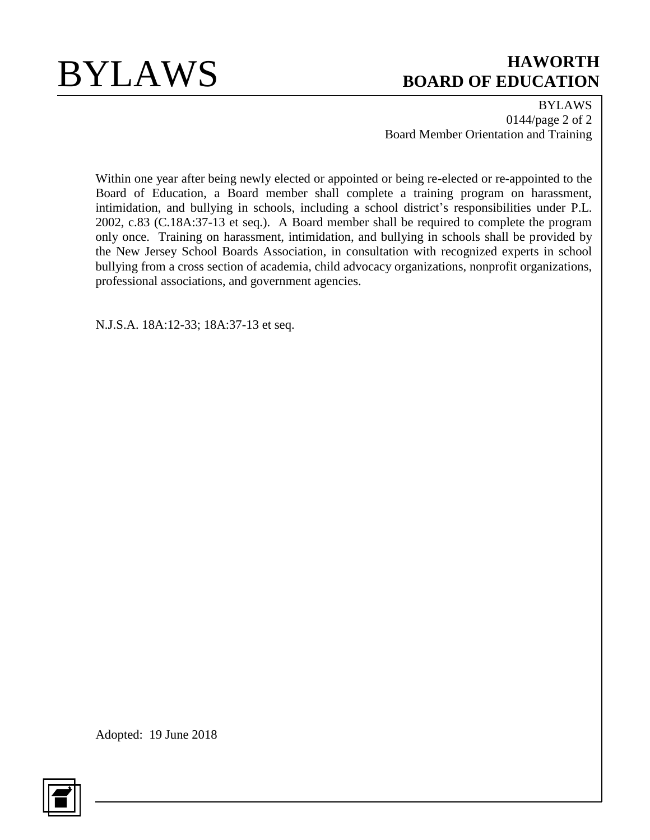

BYLAWS 0144/page 2 of 2 Board Member Orientation and Training

Within one year after being newly elected or appointed or being re-elected or re-appointed to the Board of Education, a Board member shall complete a training program on harassment, intimidation, and bullying in schools, including a school district's responsibilities under P.L. 2002, c.83 (C.18A:37-13 et seq.). A Board member shall be required to complete the program only once. Training on harassment, intimidation, and bullying in schools shall be provided by the New Jersey School Boards Association, in consultation with recognized experts in school bullying from a cross section of academia, child advocacy organizations, nonprofit organizations, professional associations, and government agencies.

N.J.S.A. 18A:12-33; 18A:37-13 et seq.

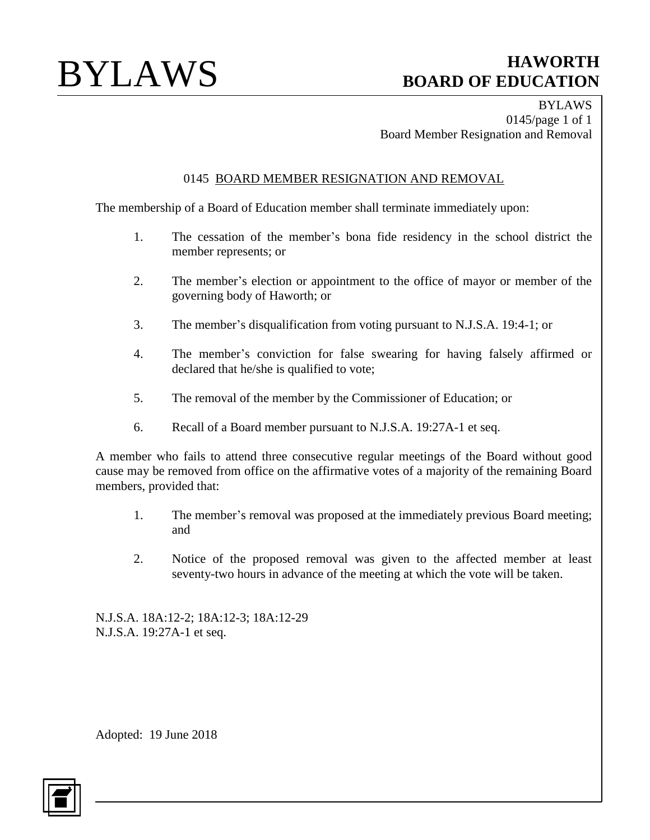BYLAWS 0145/page 1 of 1 Board Member Resignation and Removal

## 0145 BOARD MEMBER RESIGNATION AND REMOVAL

The membership of a Board of Education member shall terminate immediately upon:

- 1. The cessation of the member's bona fide residency in the school district the member represents; or
- 2. The member's election or appointment to the office of mayor or member of the governing body of Haworth; or
- 3. The member's disqualification from voting pursuant to N.J.S.A. 19:4-1; or
- 4. The member's conviction for false swearing for having falsely affirmed or declared that he/she is qualified to vote;
- 5. The removal of the member by the Commissioner of Education; or
- 6. Recall of a Board member pursuant to N.J.S.A. 19:27A-1 et seq.

A member who fails to attend three consecutive regular meetings of the Board without good cause may be removed from office on the affirmative votes of a majority of the remaining Board members, provided that:

- 1. The member's removal was proposed at the immediately previous Board meeting; and
- 2. Notice of the proposed removal was given to the affected member at least seventy-two hours in advance of the meeting at which the vote will be taken.

N.J.S.A. 18A:12-2; 18A:12-3; 18A:12-29 N.J.S.A. 19:27A-1 et seq.

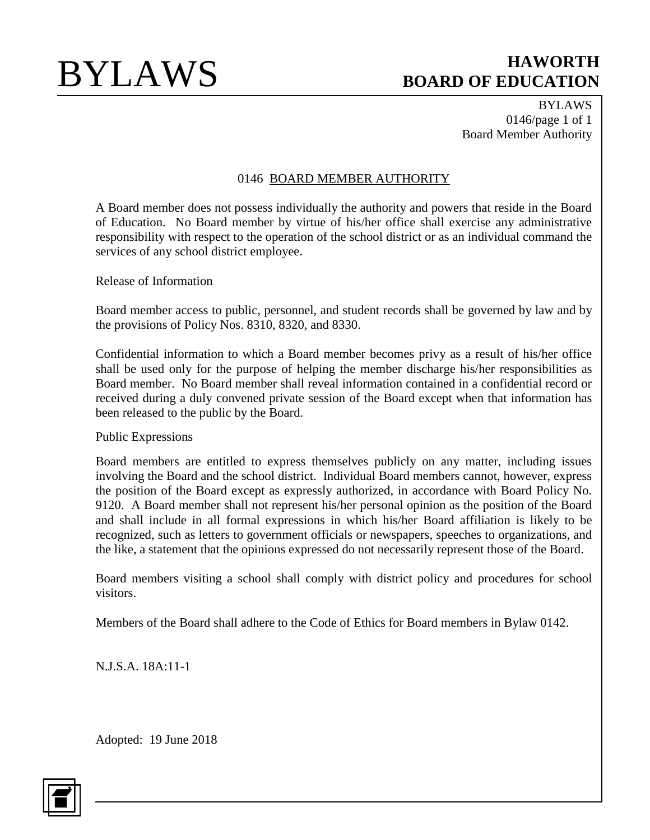BYLAWS 0146/page 1 of 1 Board Member Authority

## 0146 BOARD MEMBER AUTHORITY

A Board member does not possess individually the authority and powers that reside in the Board of Education. No Board member by virtue of his/her office shall exercise any administrative responsibility with respect to the operation of the school district or as an individual command the services of any school district employee.

Release of Information

Board member access to public, personnel, and student records shall be governed by law and by the provisions of Policy Nos. 8310, 8320, and 8330.

Confidential information to which a Board member becomes privy as a result of his/her office shall be used only for the purpose of helping the member discharge his/her responsibilities as Board member. No Board member shall reveal information contained in a confidential record or received during a duly convened private session of the Board except when that information has been released to the public by the Board.

## Public Expressions

Board members are entitled to express themselves publicly on any matter, including issues involving the Board and the school district. Individual Board members cannot, however, express the position of the Board except as expressly authorized, in accordance with Board Policy No. 9120. A Board member shall not represent his/her personal opinion as the position of the Board and shall include in all formal expressions in which his/her Board affiliation is likely to be recognized, such as letters to government officials or newspapers, speeches to organizations, and the like, a statement that the opinions expressed do not necessarily represent those of the Board.

Board members visiting a school shall comply with district policy and procedures for school visitors.

Members of the Board shall adhere to the Code of Ethics for Board members in Bylaw 0142.

N.J.S.A. 18A:11-1

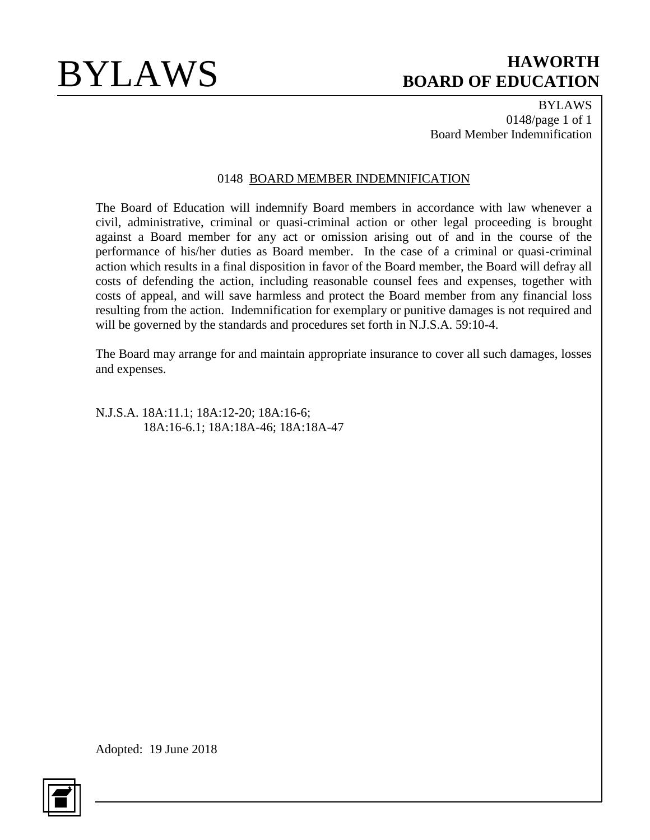BYLAWS 0148/page 1 of 1 Board Member Indemnification

### 0148 BOARD MEMBER INDEMNIFICATION

The Board of Education will indemnify Board members in accordance with law whenever a civil, administrative, criminal or quasi-criminal action or other legal proceeding is brought against a Board member for any act or omission arising out of and in the course of the performance of his/her duties as Board member. In the case of a criminal or quasi-criminal action which results in a final disposition in favor of the Board member, the Board will defray all costs of defending the action, including reasonable counsel fees and expenses, together with costs of appeal, and will save harmless and protect the Board member from any financial loss resulting from the action. Indemnification for exemplary or punitive damages is not required and will be governed by the standards and procedures set forth in N.J.S.A. 59:10-4.

The Board may arrange for and maintain appropriate insurance to cover all such damages, losses and expenses.

N.J.S.A. 18A:11.1; 18A:12-20; 18A:16-6; 18A:16-6.1; 18A:18A-46; 18A:18A-47

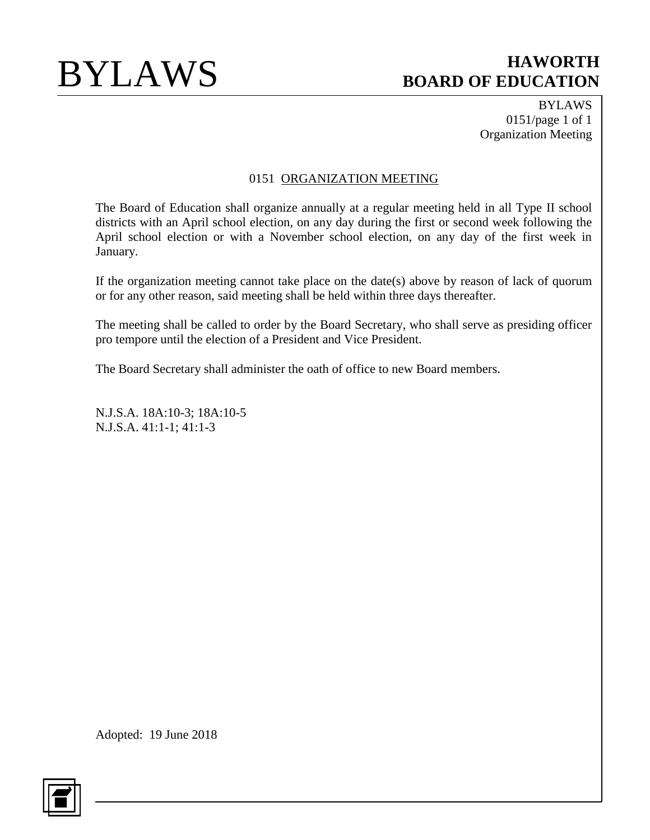BYLAWS 0151/page 1 of 1 Organization Meeting

## 0151 ORGANIZATION MEETING

The Board of Education shall organize annually at a regular meeting held in all Type II school districts with an April school election, on any day during the first or second week following the April school election or with a November school election, on any day of the first week in January.

If the organization meeting cannot take place on the date(s) above by reason of lack of quorum or for any other reason, said meeting shall be held within three days thereafter.

The meeting shall be called to order by the Board Secretary, who shall serve as presiding officer pro tempore until the election of a President and Vice President.

The Board Secretary shall administer the oath of office to new Board members.

N.J.S.A. 18A:10-3; 18A:10-5 N.J.S.A. 41:1-1; 41:1-3

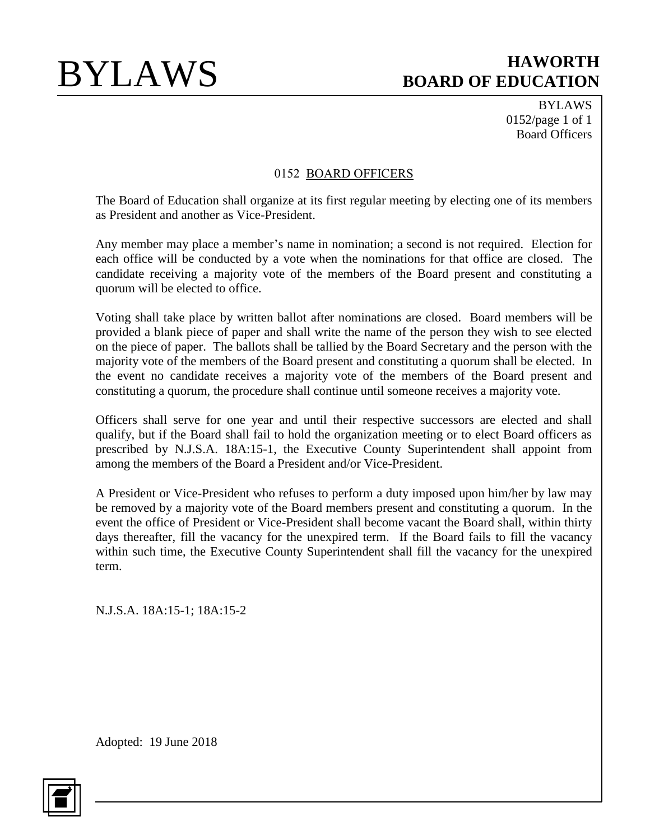BYLAWS 0152/page 1 of 1 Board Officers

### 0152 BOARD OFFICERS

The Board of Education shall organize at its first regular meeting by electing one of its members as President and another as Vice-President.

Any member may place a member's name in nomination; a second is not required. Election for each office will be conducted by a vote when the nominations for that office are closed. The candidate receiving a majority vote of the members of the Board present and constituting a quorum will be elected to office.

Voting shall take place by written ballot after nominations are closed. Board members will be provided a blank piece of paper and shall write the name of the person they wish to see elected on the piece of paper. The ballots shall be tallied by the Board Secretary and the person with the majority vote of the members of the Board present and constituting a quorum shall be elected. In the event no candidate receives a majority vote of the members of the Board present and constituting a quorum, the procedure shall continue until someone receives a majority vote.

Officers shall serve for one year and until their respective successors are elected and shall qualify, but if the Board shall fail to hold the organization meeting or to elect Board officers as prescribed by N.J.S.A. 18A:15-1, the Executive County Superintendent shall appoint from among the members of the Board a President and/or Vice-President.

A President or Vice-President who refuses to perform a duty imposed upon him/her by law may be removed by a majority vote of the Board members present and constituting a quorum. In the event the office of President or Vice-President shall become vacant the Board shall, within thirty days thereafter, fill the vacancy for the unexpired term. If the Board fails to fill the vacancy within such time, the Executive County Superintendent shall fill the vacancy for the unexpired term.

N.J.S.A. 18A:15-1; 18A:15-2

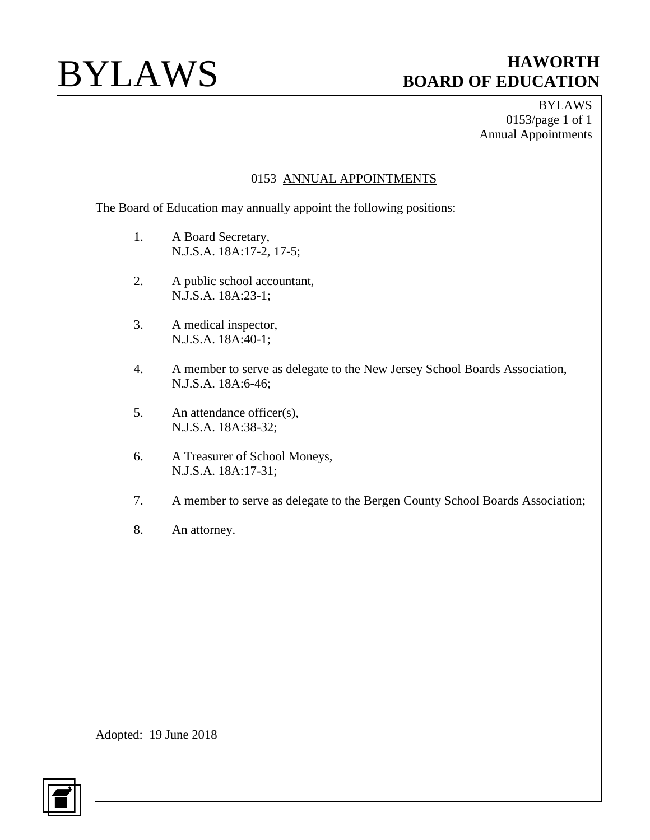BYLAWS 0153/page 1 of 1 Annual Appointments

## 0153 ANNUAL APPOINTMENTS

The Board of Education may annually appoint the following positions:

- 1. A Board Secretary, N.J.S.A. 18A:17-2, 17-5;
- 2. A public school accountant, N.J.S.A. 18A:23-1;
- 3. A medical inspector, N.J.S.A. 18A:40-1;
- 4. A member to serve as delegate to the New Jersey School Boards Association, N.J.S.A. 18A:6-46;
- 5. An attendance officer(s), N.J.S.A. 18A:38-32;
- 6. A Treasurer of School Moneys, N.J.S.A. 18A:17-31;
- 7. A member to serve as delegate to the Bergen County School Boards Association;
- 8. An attorney.

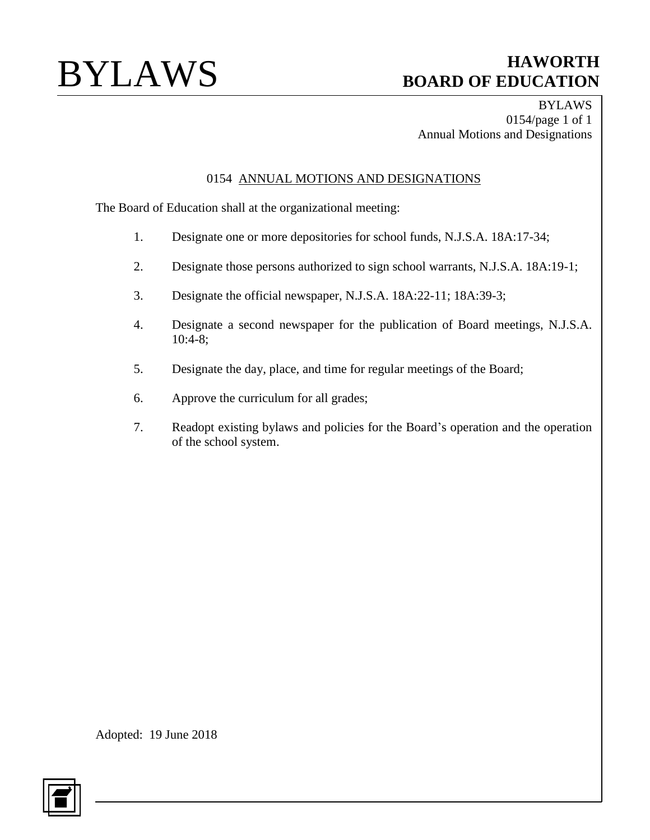BYLAWS 0154/page 1 of 1 Annual Motions and Designations

## 0154 ANNUAL MOTIONS AND DESIGNATIONS

The Board of Education shall at the organizational meeting:

- 1. Designate one or more depositories for school funds, N.J.S.A. 18A:17-34;
- 2. Designate those persons authorized to sign school warrants, N.J.S.A. 18A:19-1;
- 3. Designate the official newspaper, N.J.S.A. 18A:22-11; 18A:39-3;
- 4. Designate a second newspaper for the publication of Board meetings, N.J.S.A. 10:4-8;
- 5. Designate the day, place, and time for regular meetings of the Board;
- 6. Approve the curriculum for all grades;
- 7. Readopt existing bylaws and policies for the Board's operation and the operation of the school system.

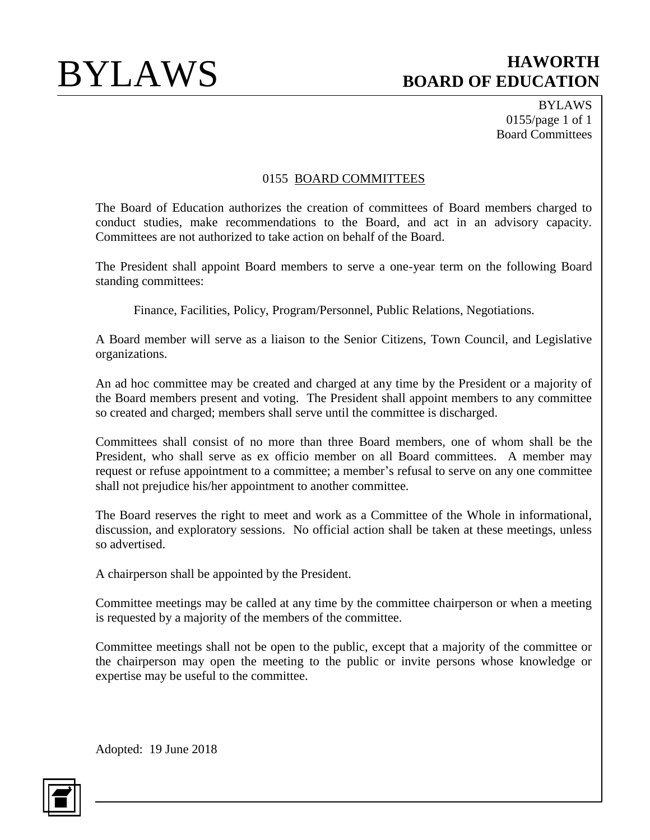BYLAWS 0155/page 1 of 1 Board Committees

## 0155 BOARD COMMITTEES

The Board of Education authorizes the creation of committees of Board members charged to conduct studies, make recommendations to the Board, and act in an advisory capacity. Committees are not authorized to take action on behalf of the Board.

The President shall appoint Board members to serve a one-year term on the following Board standing committees:

Finance, Facilities, Policy, Program/Personnel, Public Relations, Negotiations.

A Board member will serve as a liaison to the Senior Citizens, Town Council, and Legislative organizations.

An ad hoc committee may be created and charged at any time by the President or a majority of the Board members present and voting. The President shall appoint members to any committee so created and charged; members shall serve until the committee is discharged.

Committees shall consist of no more than three Board members, one of whom shall be the President, who shall serve as ex officio member on all Board committees. A member may request or refuse appointment to a committee; a member's refusal to serve on any one committee shall not prejudice his/her appointment to another committee.

The Board reserves the right to meet and work as a Committee of the Whole in informational, discussion, and exploratory sessions. No official action shall be taken at these meetings, unless so advertised.

A chairperson shall be appointed by the President.

Committee meetings may be called at any time by the committee chairperson or when a meeting is requested by a majority of the members of the committee.

Committee meetings shall not be open to the public, except that a majority of the committee or the chairperson may open the meeting to the public or invite persons whose knowledge or expertise may be useful to the committee.

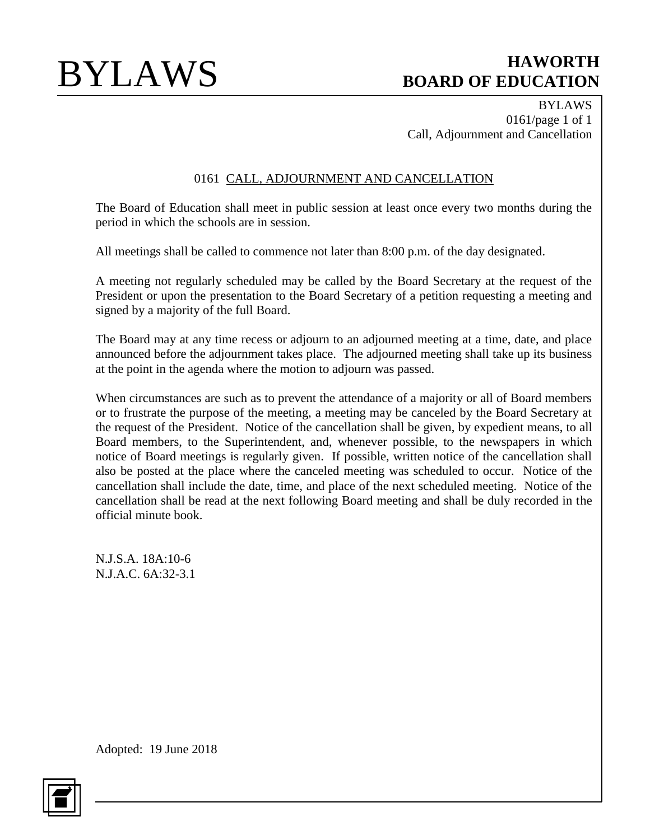BYLAWS 0161/page 1 of 1 Call, Adjournment and Cancellation

## 0161 CALL, ADJOURNMENT AND CANCELLATION

The Board of Education shall meet in public session at least once every two months during the period in which the schools are in session.

All meetings shall be called to commence not later than 8:00 p.m. of the day designated.

A meeting not regularly scheduled may be called by the Board Secretary at the request of the President or upon the presentation to the Board Secretary of a petition requesting a meeting and signed by a majority of the full Board.

The Board may at any time recess or adjourn to an adjourned meeting at a time, date, and place announced before the adjournment takes place. The adjourned meeting shall take up its business at the point in the agenda where the motion to adjourn was passed.

When circumstances are such as to prevent the attendance of a majority or all of Board members or to frustrate the purpose of the meeting, a meeting may be canceled by the Board Secretary at the request of the President. Notice of the cancellation shall be given, by expedient means, to all Board members, to the Superintendent, and, whenever possible, to the newspapers in which notice of Board meetings is regularly given. If possible, written notice of the cancellation shall also be posted at the place where the canceled meeting was scheduled to occur. Notice of the cancellation shall include the date, time, and place of the next scheduled meeting. Notice of the cancellation shall be read at the next following Board meeting and shall be duly recorded in the official minute book.

N.J.S.A. 18A:10-6 N.J.A.C. 6A:32-3.1

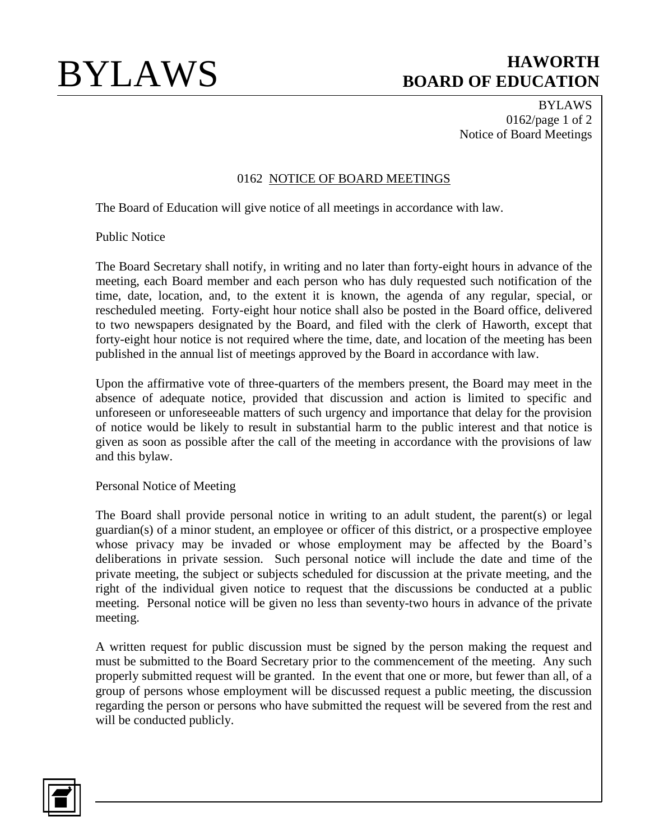BYLAWS 0162/page 1 of 2 Notice of Board Meetings

## 0162 NOTICE OF BOARD MEETINGS

The Board of Education will give notice of all meetings in accordance with law.

Public Notice

The Board Secretary shall notify, in writing and no later than forty-eight hours in advance of the meeting, each Board member and each person who has duly requested such notification of the time, date, location, and, to the extent it is known, the agenda of any regular, special, or rescheduled meeting. Forty-eight hour notice shall also be posted in the Board office, delivered to two newspapers designated by the Board, and filed with the clerk of Haworth, except that forty-eight hour notice is not required where the time, date, and location of the meeting has been published in the annual list of meetings approved by the Board in accordance with law.

Upon the affirmative vote of three-quarters of the members present, the Board may meet in the absence of adequate notice, provided that discussion and action is limited to specific and unforeseen or unforeseeable matters of such urgency and importance that delay for the provision of notice would be likely to result in substantial harm to the public interest and that notice is given as soon as possible after the call of the meeting in accordance with the provisions of law and this bylaw.

### Personal Notice of Meeting

The Board shall provide personal notice in writing to an adult student, the parent(s) or legal guardian(s) of a minor student, an employee or officer of this district, or a prospective employee whose privacy may be invaded or whose employment may be affected by the Board's deliberations in private session. Such personal notice will include the date and time of the private meeting, the subject or subjects scheduled for discussion at the private meeting, and the right of the individual given notice to request that the discussions be conducted at a public meeting. Personal notice will be given no less than seventy-two hours in advance of the private meeting.

A written request for public discussion must be signed by the person making the request and must be submitted to the Board Secretary prior to the commencement of the meeting. Any such properly submitted request will be granted. In the event that one or more, but fewer than all, of a group of persons whose employment will be discussed request a public meeting, the discussion regarding the person or persons who have submitted the request will be severed from the rest and will be conducted publicly.

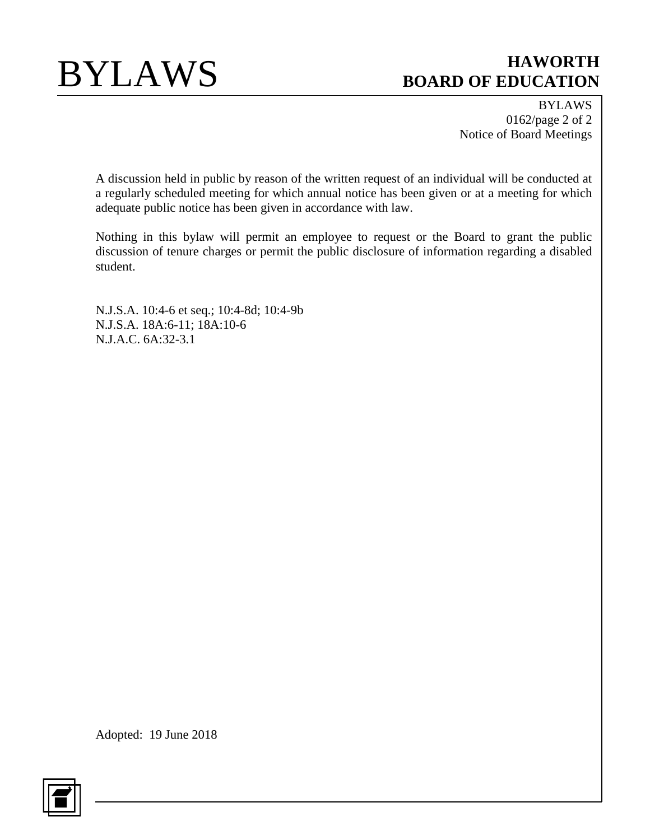

BYLAWS 0162/page 2 of 2 Notice of Board Meetings

A discussion held in public by reason of the written request of an individual will be conducted at a regularly scheduled meeting for which annual notice has been given or at a meeting for which adequate public notice has been given in accordance with law.

Nothing in this bylaw will permit an employee to request or the Board to grant the public discussion of tenure charges or permit the public disclosure of information regarding a disabled student.

N.J.S.A. 10:4-6 et seq.; 10:4-8d; 10:4-9b N.J.S.A. 18A:6-11; 18A:10-6 N.J.A.C. 6A:32-3.1

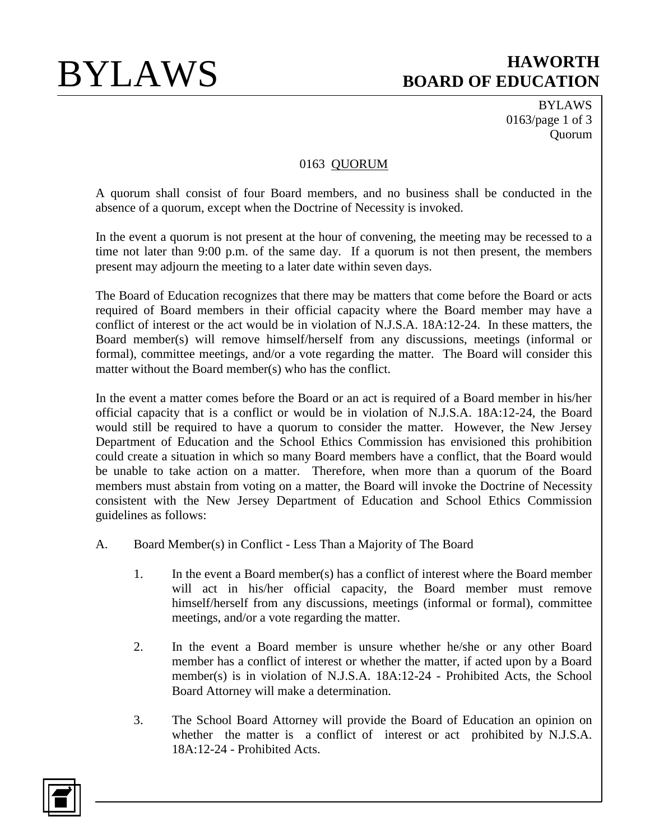BYLAWS 0163/page 1 of 3 Quorum

## 0163 QUORUM

A quorum shall consist of four Board members, and no business shall be conducted in the absence of a quorum, except when the Doctrine of Necessity is invoked.

In the event a quorum is not present at the hour of convening, the meeting may be recessed to a time not later than 9:00 p.m. of the same day. If a quorum is not then present, the members present may adjourn the meeting to a later date within seven days.

The Board of Education recognizes that there may be matters that come before the Board or acts required of Board members in their official capacity where the Board member may have a conflict of interest or the act would be in violation of N.J.S.A. 18A:12-24. In these matters, the Board member(s) will remove himself/herself from any discussions, meetings (informal or formal), committee meetings, and/or a vote regarding the matter. The Board will consider this matter without the Board member(s) who has the conflict.

In the event a matter comes before the Board or an act is required of a Board member in his/her official capacity that is a conflict or would be in violation of N.J.S.A. 18A:12-24, the Board would still be required to have a quorum to consider the matter. However, the New Jersey Department of Education and the School Ethics Commission has envisioned this prohibition could create a situation in which so many Board members have a conflict, that the Board would be unable to take action on a matter. Therefore, when more than a quorum of the Board members must abstain from voting on a matter, the Board will invoke the Doctrine of Necessity consistent with the New Jersey Department of Education and School Ethics Commission guidelines as follows:

- A. Board Member(s) in Conflict Less Than a Majority of The Board
	- 1. In the event a Board member(s) has a conflict of interest where the Board member will act in his/her official capacity, the Board member must remove himself/herself from any discussions, meetings (informal or formal), committee meetings, and/or a vote regarding the matter.
	- 2. In the event a Board member is unsure whether he/she or any other Board member has a conflict of interest or whether the matter, if acted upon by a Board member(s) is in violation of N.J.S.A. 18A:12-24 - Prohibited Acts, the School Board Attorney will make a determination.
	- 3. The School Board Attorney will provide the Board of Education an opinion on whether the matter is a conflict of interest or act prohibited by N.J.S.A. 18A:12-24 - Prohibited Acts.

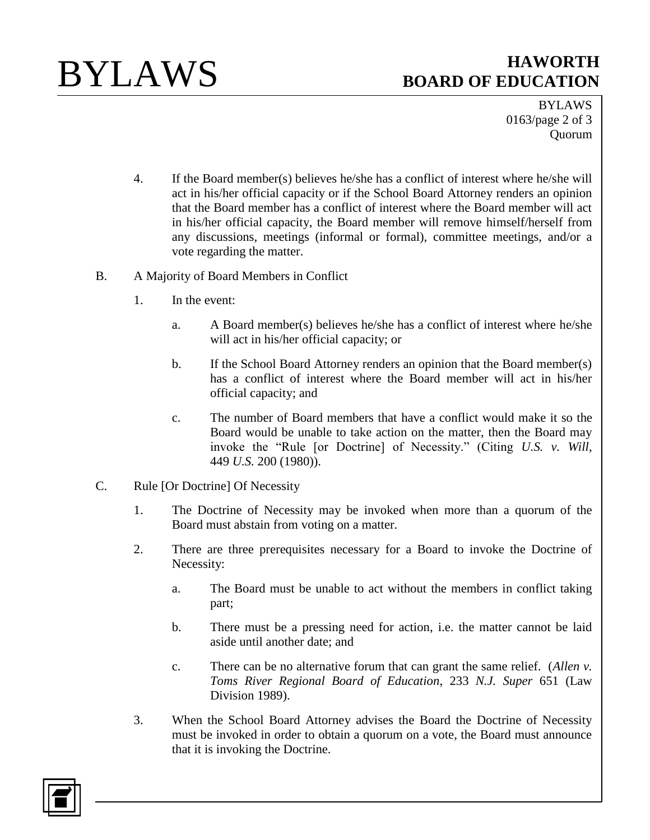

BYLAWS 0163/page 2 of 3 Quorum

- 4. If the Board member(s) believes he/she has a conflict of interest where he/she will act in his/her official capacity or if the School Board Attorney renders an opinion that the Board member has a conflict of interest where the Board member will act in his/her official capacity, the Board member will remove himself/herself from any discussions, meetings (informal or formal), committee meetings, and/or a vote regarding the matter.
- B. A Majority of Board Members in Conflict
	- 1. In the event:
		- a. A Board member(s) believes he/she has a conflict of interest where he/she will act in his/her official capacity; or
		- b. If the School Board Attorney renders an opinion that the Board member(s) has a conflict of interest where the Board member will act in his/her official capacity; and
		- c. The number of Board members that have a conflict would make it so the Board would be unable to take action on the matter, then the Board may invoke the "Rule [or Doctrine] of Necessity." (Citing *U.S. v. Will*, 449 *U.S.* 200 (1980)).
- C. Rule [Or Doctrine] Of Necessity
	- 1. The Doctrine of Necessity may be invoked when more than a quorum of the Board must abstain from voting on a matter.
	- 2. There are three prerequisites necessary for a Board to invoke the Doctrine of Necessity:
		- a. The Board must be unable to act without the members in conflict taking part;
		- b. There must be a pressing need for action, i.e. the matter cannot be laid aside until another date; and
		- c. There can be no alternative forum that can grant the same relief. (*Allen v. Toms River Regional Board of Education*, 233 *N.J. Super* 651 (Law Division 1989).
	- 3. When the School Board Attorney advises the Board the Doctrine of Necessity must be invoked in order to obtain a quorum on a vote, the Board must announce that it is invoking the Doctrine.

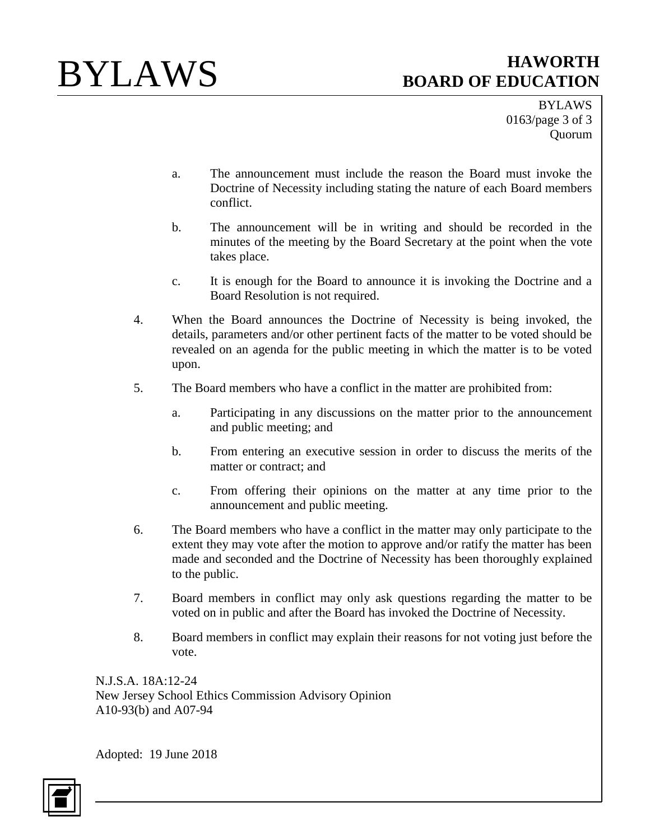BYLAWS 0163/page 3 of 3 Quorum

- a. The announcement must include the reason the Board must invoke the Doctrine of Necessity including stating the nature of each Board members conflict.
- b. The announcement will be in writing and should be recorded in the minutes of the meeting by the Board Secretary at the point when the vote takes place.
- c. It is enough for the Board to announce it is invoking the Doctrine and a Board Resolution is not required.
- 4. When the Board announces the Doctrine of Necessity is being invoked, the details, parameters and/or other pertinent facts of the matter to be voted should be revealed on an agenda for the public meeting in which the matter is to be voted upon.
- 5. The Board members who have a conflict in the matter are prohibited from:
	- a. Participating in any discussions on the matter prior to the announcement and public meeting; and
	- b. From entering an executive session in order to discuss the merits of the matter or contract; and
	- c. From offering their opinions on the matter at any time prior to the announcement and public meeting.
- 6. The Board members who have a conflict in the matter may only participate to the extent they may vote after the motion to approve and/or ratify the matter has been made and seconded and the Doctrine of Necessity has been thoroughly explained to the public.
- 7. Board members in conflict may only ask questions regarding the matter to be voted on in public and after the Board has invoked the Doctrine of Necessity.
- 8. Board members in conflict may explain their reasons for not voting just before the vote.

N.J.S.A. 18A:12-24 New Jersey School Ethics Commission Advisory Opinion A10-93(b) and A07-94

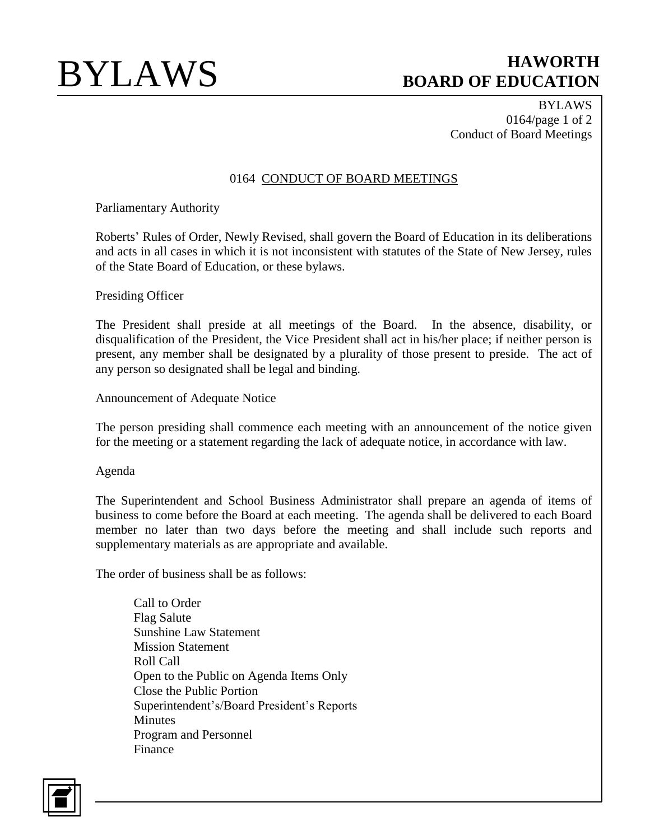BYLAWS 0164/page 1 of 2 Conduct of Board Meetings

## 0164 CONDUCT OF BOARD MEETINGS

Parliamentary Authority

Roberts' Rules of Order, Newly Revised, shall govern the Board of Education in its deliberations and acts in all cases in which it is not inconsistent with statutes of the State of New Jersey, rules of the State Board of Education, or these bylaws.

Presiding Officer

The President shall preside at all meetings of the Board. In the absence, disability, or disqualification of the President, the Vice President shall act in his/her place; if neither person is present, any member shall be designated by a plurality of those present to preside. The act of any person so designated shall be legal and binding.

Announcement of Adequate Notice

The person presiding shall commence each meeting with an announcement of the notice given for the meeting or a statement regarding the lack of adequate notice, in accordance with law.

Agenda

The Superintendent and School Business Administrator shall prepare an agenda of items of business to come before the Board at each meeting. The agenda shall be delivered to each Board member no later than two days before the meeting and shall include such reports and supplementary materials as are appropriate and available.

The order of business shall be as follows:

Call to Order Flag Salute Sunshine Law Statement Mission Statement Roll Call Open to the Public on Agenda Items Only Close the Public Portion Superintendent's/Board President's Reports **Minutes** Program and Personnel Finance

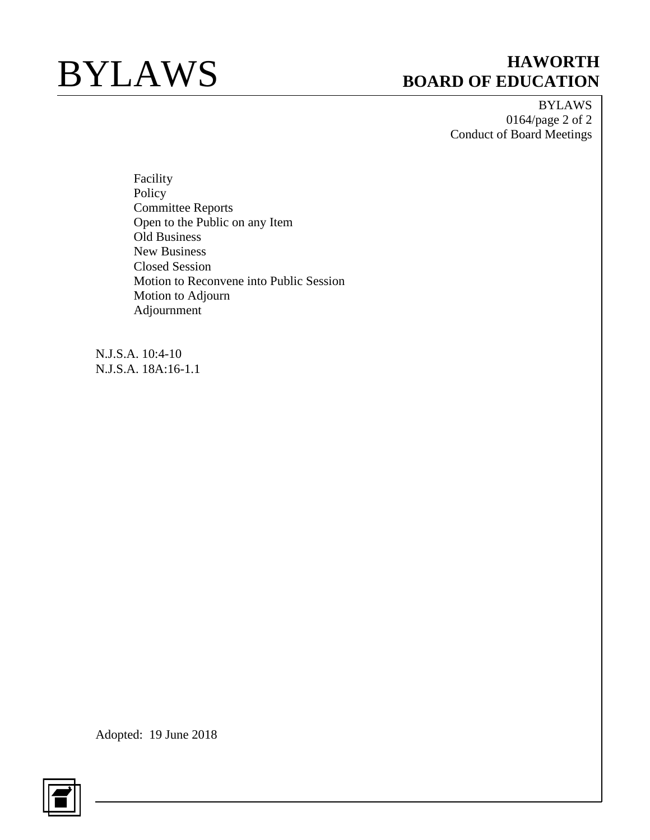BYLAWS 0164/page 2 of 2 Conduct of Board Meetings

Facility Policy Committee Reports Open to the Public on any Item Old Business New Business Closed Session Motion to Reconvene into Public Session Motion to Adjourn Adjournment

N.J.S.A. 10:4-10 N.J.S.A. 18A:16-1.1

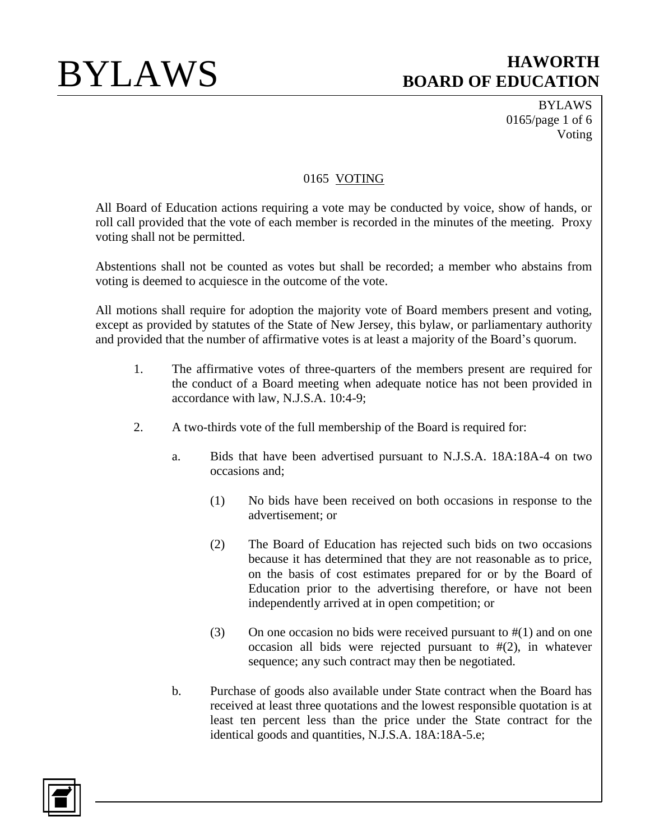BYLAWS 0165/page 1 of 6 Voting

## 0165 VOTING

All Board of Education actions requiring a vote may be conducted by voice, show of hands, or roll call provided that the vote of each member is recorded in the minutes of the meeting. Proxy voting shall not be permitted.

Abstentions shall not be counted as votes but shall be recorded; a member who abstains from voting is deemed to acquiesce in the outcome of the vote.

All motions shall require for adoption the majority vote of Board members present and voting, except as provided by statutes of the State of New Jersey, this bylaw, or parliamentary authority and provided that the number of affirmative votes is at least a majority of the Board's quorum.

- 1. The affirmative votes of three-quarters of the members present are required for the conduct of a Board meeting when adequate notice has not been provided in accordance with law, N.J.S.A. 10:4-9;
- 2. A two-thirds vote of the full membership of the Board is required for:
	- a. Bids that have been advertised pursuant to N.J.S.A. 18A:18A-4 on two occasions and;
		- (1) No bids have been received on both occasions in response to the advertisement; or
		- (2) The Board of Education has rejected such bids on two occasions because it has determined that they are not reasonable as to price, on the basis of cost estimates prepared for or by the Board of Education prior to the advertising therefore, or have not been independently arrived at in open competition; or
		- (3) On one occasion no bids were received pursuant to  $\#(1)$  and on one occasion all bids were rejected pursuant to #(2), in whatever sequence; any such contract may then be negotiated.
	- b. Purchase of goods also available under State contract when the Board has received at least three quotations and the lowest responsible quotation is at least ten percent less than the price under the State contract for the identical goods and quantities, N.J.S.A. 18A:18A-5.e;

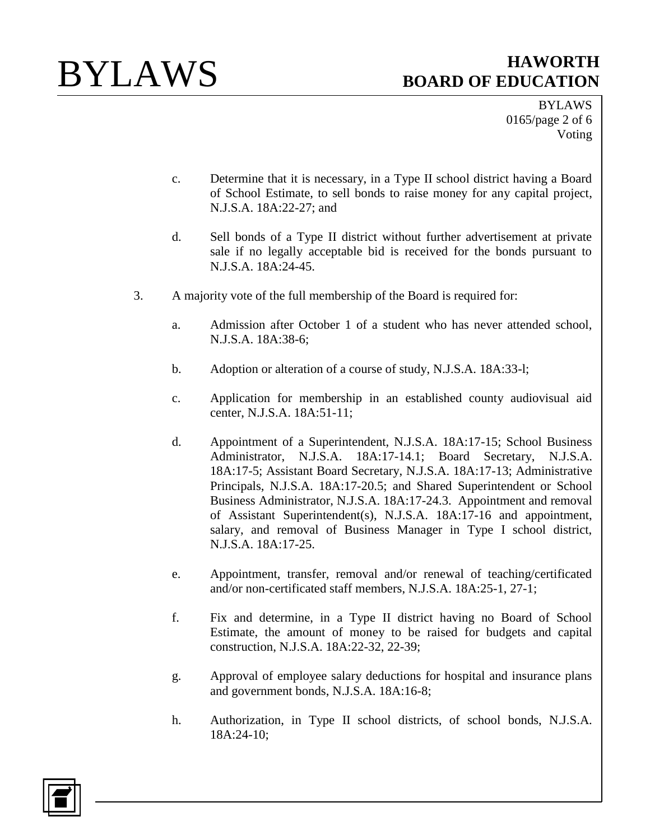BYLAWS 0165/page 2 of 6 Voting

- c. Determine that it is necessary, in a Type II school district having a Board of School Estimate, to sell bonds to raise money for any capital project, N.J.S.A. 18A:22-27; and
- d. Sell bonds of a Type II district without further advertisement at private sale if no legally acceptable bid is received for the bonds pursuant to N.J.S.A. 18A:24-45.
- 3. A majority vote of the full membership of the Board is required for:
	- a. Admission after October 1 of a student who has never attended school, N.J.S.A. 18A:38-6;
	- b. Adoption or alteration of a course of study, N.J.S.A. 18A:33-l;
	- c. Application for membership in an established county audiovisual aid center, N.J.S.A. 18A:51-11;
	- d. Appointment of a Superintendent, N.J.S.A. 18A:17-15; School Business Administrator, N.J.S.A. 18A:17-14.1; Board Secretary, N.J.S.A. 18A:17-5; Assistant Board Secretary, N.J.S.A. 18A:17-13; Administrative Principals, N.J.S.A. 18A:17-20.5; and Shared Superintendent or School Business Administrator, N.J.S.A. 18A:17-24.3. Appointment and removal of Assistant Superintendent(s), N.J.S.A. 18A:17-16 and appointment, salary, and removal of Business Manager in Type I school district, N.J.S.A. 18A:17-25.
	- e. Appointment, transfer, removal and/or renewal of teaching/certificated and/or non-certificated staff members, N.J.S.A. 18A:25-1, 27-1;
	- f. Fix and determine, in a Type II district having no Board of School Estimate, the amount of money to be raised for budgets and capital construction, N.J.S.A. 18A:22-32, 22-39;
	- g. Approval of employee salary deductions for hospital and insurance plans and government bonds, N.J.S.A. 18A:16-8;
	- h. Authorization, in Type II school districts, of school bonds, N.J.S.A. 18A:24-10;

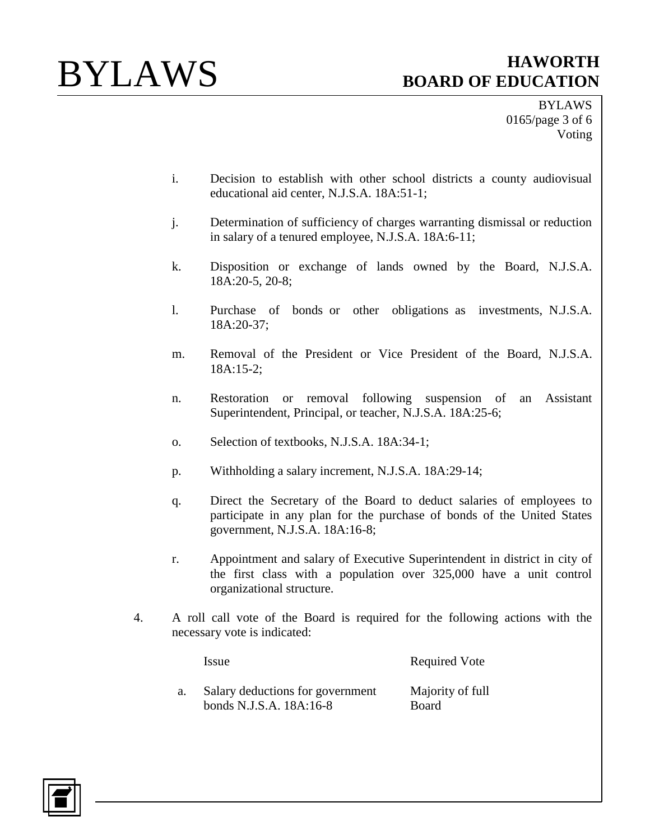BYLAWS 0165/page 3 of 6 Voting

- i. Decision to establish with other school districts a county audiovisual educational aid center, N.J.S.A. 18A:51-1;
- j. Determination of sufficiency of charges warranting dismissal or reduction in salary of a tenured employee, N.J.S.A. 18A:6-11;
- k. Disposition or exchange of lands owned by the Board, N.J.S.A. 18A:20-5, 20-8;
- l. Purchase of bonds or other obligations as investments, N.J.S.A. 18A:20-37;
- m. Removal of the President or Vice President of the Board, N.J.S.A. 18A:15-2;
- n. Restoration or removal following suspension of an Assistant Superintendent, Principal, or teacher, N.J.S.A. 18A:25-6;
- o. Selection of textbooks, N.J.S.A. 18A:34-1;
- p. Withholding a salary increment, N.J.S.A. 18A:29-14;
- q. Direct the Secretary of the Board to deduct salaries of employees to participate in any plan for the purchase of bonds of the United States government, N.J.S.A. 18A:16-8;
- r. Appointment and salary of Executive Superintendent in district in city of the first class with a population over 325,000 have a unit control organizational structure.
- 4. A roll call vote of the Board is required for the following actions with the necessary vote is indicated:

Issue Required Vote

a. Salary deductions for government bonds N.J.S.A. 18A:16-8 Majority of full Board

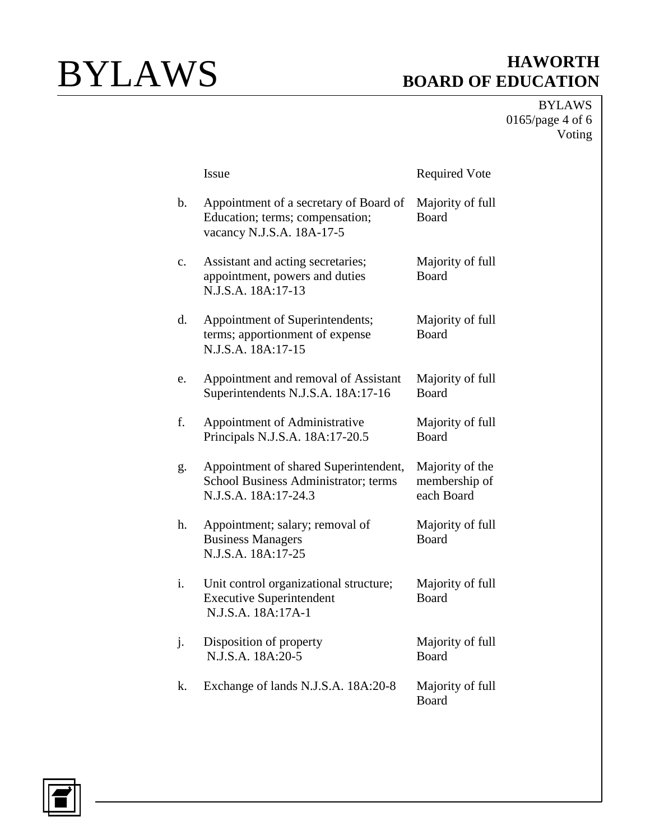BYLAWS 0165/page 4 of 6 Voting

|    | Issue                                                                                                  | <b>Required Vote</b>                           |
|----|--------------------------------------------------------------------------------------------------------|------------------------------------------------|
| b. | Appointment of a secretary of Board of<br>Education; terms; compensation;<br>vacancy N.J.S.A. 18A-17-5 | Majority of full<br><b>Board</b>               |
| c. | Assistant and acting secretaries;<br>appointment, powers and duties<br>N.J.S.A. 18A:17-13              | Majority of full<br>Board                      |
| d. | Appointment of Superintendents;<br>terms; apportionment of expense<br>N.J.S.A. 18A:17-15               | Majority of full<br><b>Board</b>               |
| e. | Appointment and removal of Assistant<br>Superintendents N.J.S.A. 18A:17-16                             | Majority of full<br>Board                      |
| f. | Appointment of Administrative<br>Principals N.J.S.A. 18A:17-20.5                                       | Majority of full<br>Board                      |
| g. | Appointment of shared Superintendent,<br>School Business Administrator; terms<br>N.J.S.A. 18A:17-24.3  | Majority of the<br>membership of<br>each Board |
| h. | Appointment; salary; removal of<br><b>Business Managers</b><br>N.J.S.A. 18A:17-25                      | Majority of full<br>Board                      |
| i. | Unit control organizational structure;<br><b>Executive Superintendent</b><br>N.J.S.A. 18A:17A-1        | Majority of full<br><b>Board</b>               |
| j. | Disposition of property<br>N.J.S.A. 18A:20-5                                                           | Majority of full<br><b>Board</b>               |
| k. | Exchange of lands N.J.S.A. 18A:20-8                                                                    | Majority of full<br>Board                      |

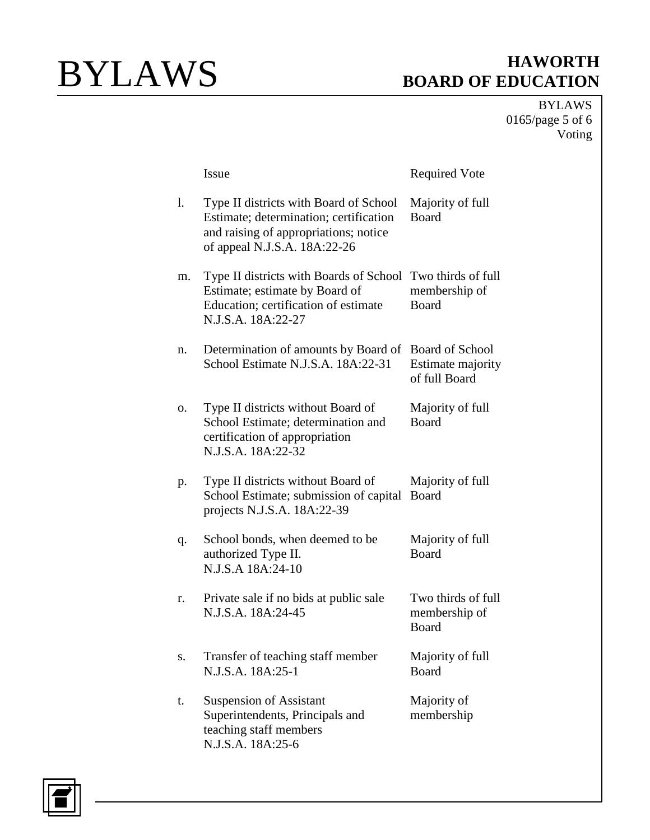BYLAWS 0165/page 5 of 6 Voting

|    | Issue                                                                                                                                                     | <b>Required Vote</b>                                         |
|----|-----------------------------------------------------------------------------------------------------------------------------------------------------------|--------------------------------------------------------------|
| 1. | Type II districts with Board of School<br>Estimate; determination; certification<br>and raising of appropriations; notice<br>of appeal N.J.S.A. 18A:22-26 | Majority of full<br>Board                                    |
| m. | Type II districts with Boards of School<br>Estimate; estimate by Board of<br>Education; certification of estimate<br>N.J.S.A. 18A:22-27                   | Two thirds of full<br>membership of<br>Board                 |
| n. | Determination of amounts by Board of<br>School Estimate N.J.S.A. 18A:22-31                                                                                | <b>Board of School</b><br>Estimate majority<br>of full Board |
| О. | Type II districts without Board of<br>School Estimate; determination and<br>certification of appropriation<br>N.J.S.A. 18A:22-32                          | Majority of full<br>Board                                    |
| p. | Type II districts without Board of<br>School Estimate; submission of capital<br>projects N.J.S.A. 18A:22-39                                               | Majority of full<br>Board                                    |
| q. | School bonds, when deemed to be<br>authorized Type II.<br>N.J.S.A 18A:24-10                                                                               | Majority of full<br><b>Board</b>                             |
| r. | Private sale if no bids at public sale<br>N.J.S.A. 18A:24-45                                                                                              | Two thirds of full<br>membership of<br><b>Board</b>          |
| s. | Transfer of teaching staff member<br>N.J.S.A. 18A:25-1                                                                                                    | Majority of full<br>Board                                    |
| t. | <b>Suspension of Assistant</b><br>Superintendents, Principals and<br>teaching staff members<br>N.J.S.A. 18A:25-6                                          | Majority of<br>membership                                    |

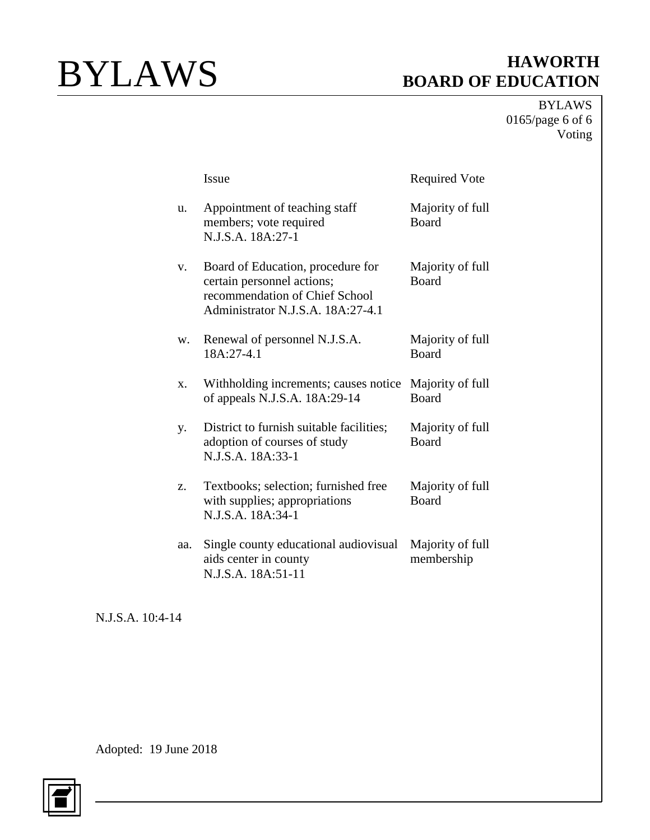BYLAWS 0165/page 6 of 6 Voting

|     | <b>Issue</b>                                                                                                                           | <b>Required Vote</b>             |
|-----|----------------------------------------------------------------------------------------------------------------------------------------|----------------------------------|
| u.  | Appointment of teaching staff<br>members; vote required<br>N.J.S.A. 18A:27-1                                                           | Majority of full<br><b>Board</b> |
| V.  | Board of Education, procedure for<br>certain personnel actions;<br>recommendation of Chief School<br>Administrator N.J.S.A. 18A:27-4.1 | Majority of full<br><b>Board</b> |
| W.  | Renewal of personnel N.J.S.A.<br>18A:27-4.1                                                                                            | Majority of full<br><b>Board</b> |
| X.  | Withholding increments; causes notice<br>of appeals N.J.S.A. 18A:29-14                                                                 | Majority of full<br><b>Board</b> |
| y.  | District to furnish suitable facilities;<br>adoption of courses of study<br>N.J.S.A. 18A:33-1                                          | Majority of full<br><b>Board</b> |
| Z.  | Textbooks; selection; furnished free<br>with supplies; appropriations<br>N.J.S.A. 18A:34-1                                             | Majority of full<br><b>Board</b> |
| aa. | Single county educational audiovisual<br>aids center in county<br>N.J.S.A. 18A:51-11                                                   | Majority of full<br>membership   |

N.J.S.A. 10:4-14

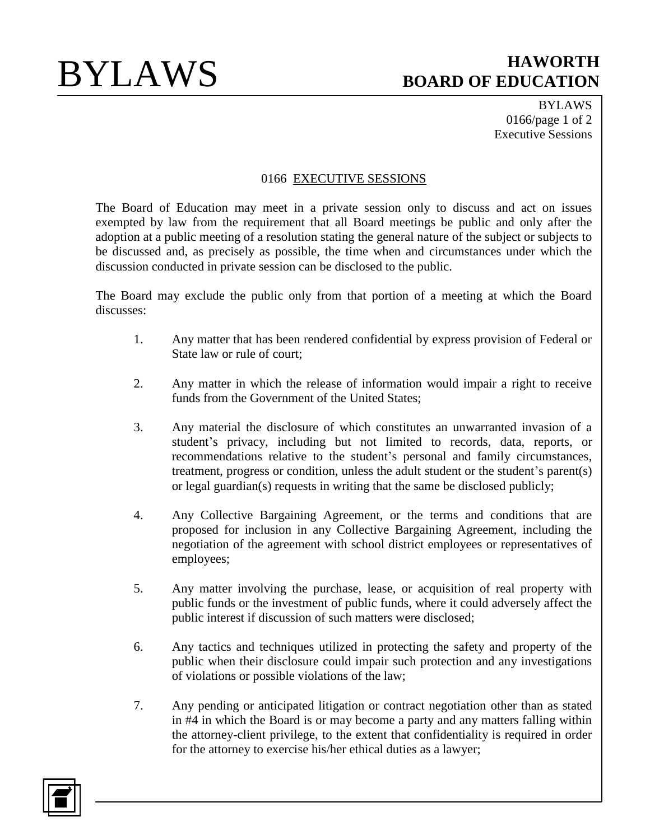BYLAWS 0166/page 1 of 2 Executive Sessions

## 0166 EXECUTIVE SESSIONS

The Board of Education may meet in a private session only to discuss and act on issues exempted by law from the requirement that all Board meetings be public and only after the adoption at a public meeting of a resolution stating the general nature of the subject or subjects to be discussed and, as precisely as possible, the time when and circumstances under which the discussion conducted in private session can be disclosed to the public.

The Board may exclude the public only from that portion of a meeting at which the Board discusses:

- 1. Any matter that has been rendered confidential by express provision of Federal or State law or rule of court;
- 2. Any matter in which the release of information would impair a right to receive funds from the Government of the United States;
- 3. Any material the disclosure of which constitutes an unwarranted invasion of a student's privacy, including but not limited to records, data, reports, or recommendations relative to the student's personal and family circumstances, treatment, progress or condition, unless the adult student or the student's parent(s) or legal guardian(s) requests in writing that the same be disclosed publicly;
- 4. Any Collective Bargaining Agreement, or the terms and conditions that are proposed for inclusion in any Collective Bargaining Agreement, including the negotiation of the agreement with school district employees or representatives of employees;
- 5. Any matter involving the purchase, lease, or acquisition of real property with public funds or the investment of public funds, where it could adversely affect the public interest if discussion of such matters were disclosed;
- 6. Any tactics and techniques utilized in protecting the safety and property of the public when their disclosure could impair such protection and any investigations of violations or possible violations of the law;
- 7. Any pending or anticipated litigation or contract negotiation other than as stated in #4 in which the Board is or may become a party and any matters falling within the attorney-client privilege, to the extent that confidentiality is required in order for the attorney to exercise his/her ethical duties as a lawyer;

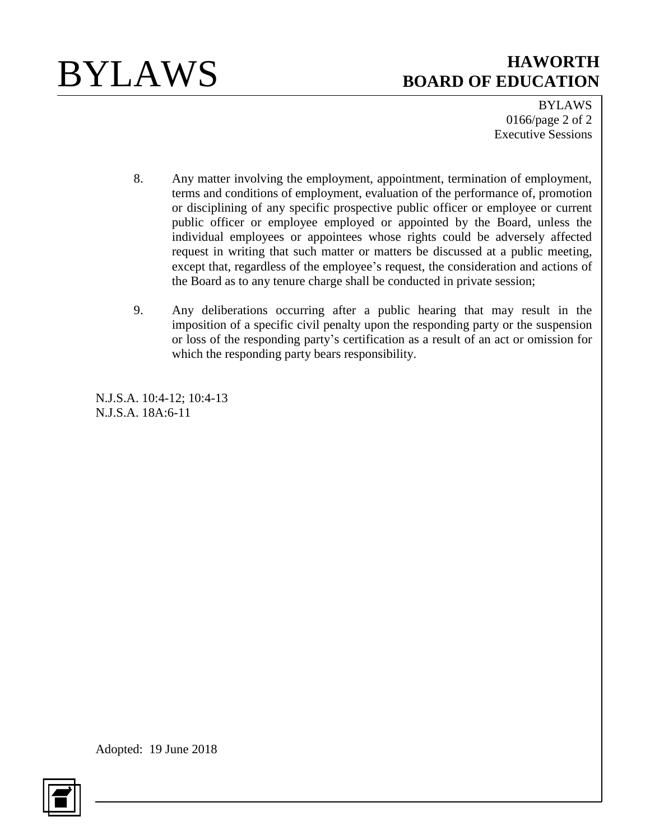

BYLAWS 0166/page 2 of 2 Executive Sessions

- 8. Any matter involving the employment, appointment, termination of employment, terms and conditions of employment, evaluation of the performance of, promotion or disciplining of any specific prospective public officer or employee or current public officer or employee employed or appointed by the Board, unless the individual employees or appointees whose rights could be adversely affected request in writing that such matter or matters be discussed at a public meeting, except that, regardless of the employee's request, the consideration and actions of the Board as to any tenure charge shall be conducted in private session;
- 9. Any deliberations occurring after a public hearing that may result in the imposition of a specific civil penalty upon the responding party or the suspension or loss of the responding party's certification as a result of an act or omission for which the responding party bears responsibility.

N.J.S.A. 10:4-12; 10:4-13 N.J.S.A. 18A:6-11

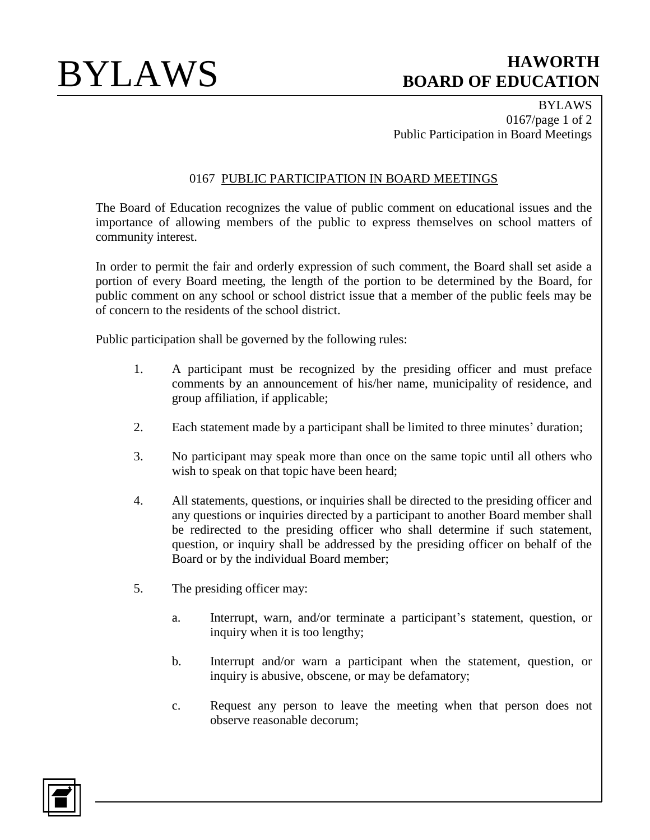BYLAWS 0167/page 1 of 2 Public Participation in Board Meetings

## 0167 PUBLIC PARTICIPATION IN BOARD MEETINGS

The Board of Education recognizes the value of public comment on educational issues and the importance of allowing members of the public to express themselves on school matters of community interest.

In order to permit the fair and orderly expression of such comment, the Board shall set aside a portion of every Board meeting, the length of the portion to be determined by the Board, for public comment on any school or school district issue that a member of the public feels may be of concern to the residents of the school district.

Public participation shall be governed by the following rules:

- 1. A participant must be recognized by the presiding officer and must preface comments by an announcement of his/her name, municipality of residence, and group affiliation, if applicable;
- 2. Each statement made by a participant shall be limited to three minutes' duration;
- 3. No participant may speak more than once on the same topic until all others who wish to speak on that topic have been heard;
- 4. All statements, questions, or inquiries shall be directed to the presiding officer and any questions or inquiries directed by a participant to another Board member shall be redirected to the presiding officer who shall determine if such statement, question, or inquiry shall be addressed by the presiding officer on behalf of the Board or by the individual Board member;
- 5. The presiding officer may:
	- a. Interrupt, warn, and/or terminate a participant's statement, question, or inquiry when it is too lengthy;
	- b. Interrupt and/or warn a participant when the statement, question, or inquiry is abusive, obscene, or may be defamatory;
	- c. Request any person to leave the meeting when that person does not observe reasonable decorum;

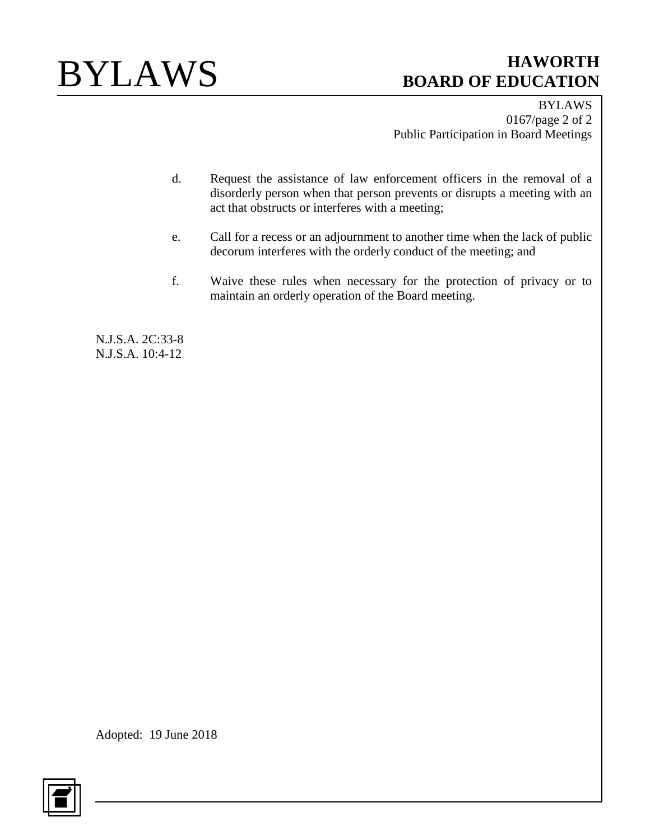

BYLAWS 0167/page 2 of 2 Public Participation in Board Meetings

- d. Request the assistance of law enforcement officers in the removal of a disorderly person when that person prevents or disrupts a meeting with an act that obstructs or interferes with a meeting;
- e. Call for a recess or an adjournment to another time when the lack of public decorum interferes with the orderly conduct of the meeting; and
- f. Waive these rules when necessary for the protection of privacy or to maintain an orderly operation of the Board meeting.

N.J.S.A. 2C:33-8 N.J.S.A. 10:4-12

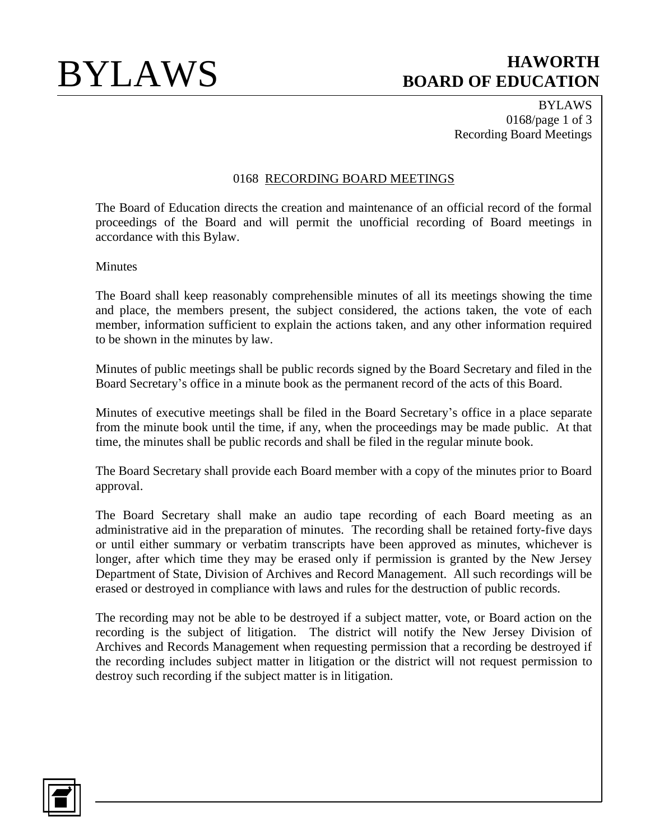BYLAWS 0168/page 1 of 3 Recording Board Meetings

### 0168 RECORDING BOARD MEETINGS

The Board of Education directs the creation and maintenance of an official record of the formal proceedings of the Board and will permit the unofficial recording of Board meetings in accordance with this Bylaw.

**Minutes** 

The Board shall keep reasonably comprehensible minutes of all its meetings showing the time and place, the members present, the subject considered, the actions taken, the vote of each member, information sufficient to explain the actions taken, and any other information required to be shown in the minutes by law.

Minutes of public meetings shall be public records signed by the Board Secretary and filed in the Board Secretary's office in a minute book as the permanent record of the acts of this Board.

Minutes of executive meetings shall be filed in the Board Secretary's office in a place separate from the minute book until the time, if any, when the proceedings may be made public. At that time, the minutes shall be public records and shall be filed in the regular minute book.

The Board Secretary shall provide each Board member with a copy of the minutes prior to Board approval.

The Board Secretary shall make an audio tape recording of each Board meeting as an administrative aid in the preparation of minutes. The recording shall be retained forty-five days or until either summary or verbatim transcripts have been approved as minutes, whichever is longer, after which time they may be erased only if permission is granted by the New Jersey Department of State, Division of Archives and Record Management. All such recordings will be erased or destroyed in compliance with laws and rules for the destruction of public records.

The recording may not be able to be destroyed if a subject matter, vote, or Board action on the recording is the subject of litigation. The district will notify the New Jersey Division of Archives and Records Management when requesting permission that a recording be destroyed if the recording includes subject matter in litigation or the district will not request permission to destroy such recording if the subject matter is in litigation.

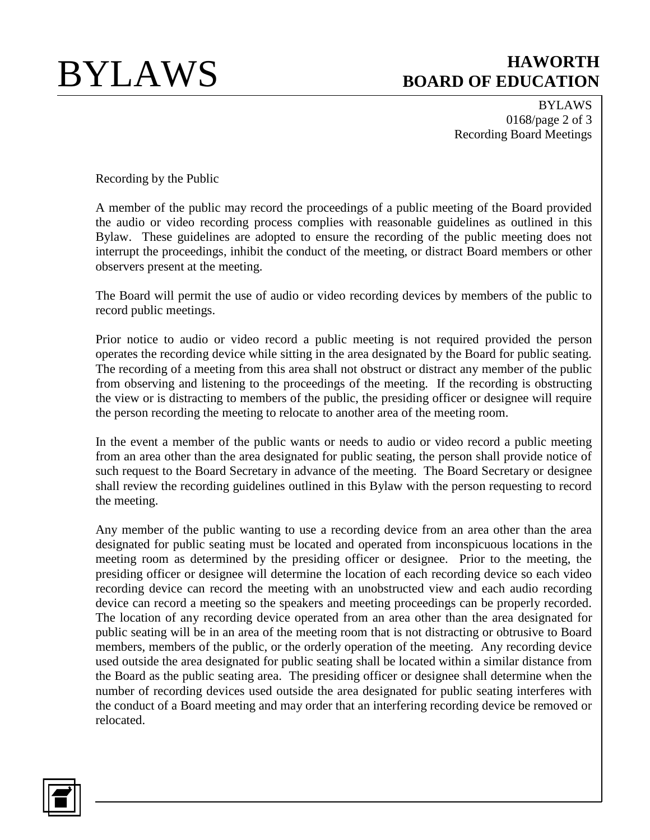BYLAWS 0168/page 2 of 3 Recording Board Meetings

Recording by the Public

A member of the public may record the proceedings of a public meeting of the Board provided the audio or video recording process complies with reasonable guidelines as outlined in this Bylaw. These guidelines are adopted to ensure the recording of the public meeting does not interrupt the proceedings, inhibit the conduct of the meeting, or distract Board members or other observers present at the meeting.

The Board will permit the use of audio or video recording devices by members of the public to record public meetings.

Prior notice to audio or video record a public meeting is not required provided the person operates the recording device while sitting in the area designated by the Board for public seating. The recording of a meeting from this area shall not obstruct or distract any member of the public from observing and listening to the proceedings of the meeting. If the recording is obstructing the view or is distracting to members of the public, the presiding officer or designee will require the person recording the meeting to relocate to another area of the meeting room.

In the event a member of the public wants or needs to audio or video record a public meeting from an area other than the area designated for public seating, the person shall provide notice of such request to the Board Secretary in advance of the meeting. The Board Secretary or designee shall review the recording guidelines outlined in this Bylaw with the person requesting to record the meeting.

Any member of the public wanting to use a recording device from an area other than the area designated for public seating must be located and operated from inconspicuous locations in the meeting room as determined by the presiding officer or designee. Prior to the meeting, the presiding officer or designee will determine the location of each recording device so each video recording device can record the meeting with an unobstructed view and each audio recording device can record a meeting so the speakers and meeting proceedings can be properly recorded. The location of any recording device operated from an area other than the area designated for public seating will be in an area of the meeting room that is not distracting or obtrusive to Board members, members of the public, or the orderly operation of the meeting. Any recording device used outside the area designated for public seating shall be located within a similar distance from the Board as the public seating area. The presiding officer or designee shall determine when the number of recording devices used outside the area designated for public seating interferes with the conduct of a Board meeting and may order that an interfering recording device be removed or relocated.

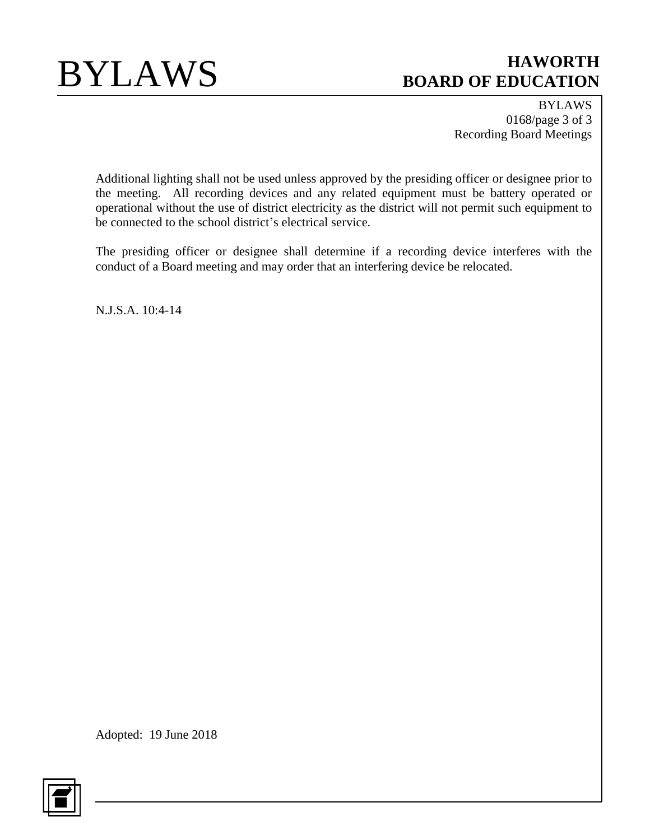

BYLAWS 0168/page 3 of 3 Recording Board Meetings

Additional lighting shall not be used unless approved by the presiding officer or designee prior to the meeting. All recording devices and any related equipment must be battery operated or operational without the use of district electricity as the district will not permit such equipment to be connected to the school district's electrical service.

The presiding officer or designee shall determine if a recording device interferes with the conduct of a Board meeting and may order that an interfering device be relocated.

N.J.S.A. 10:4-14

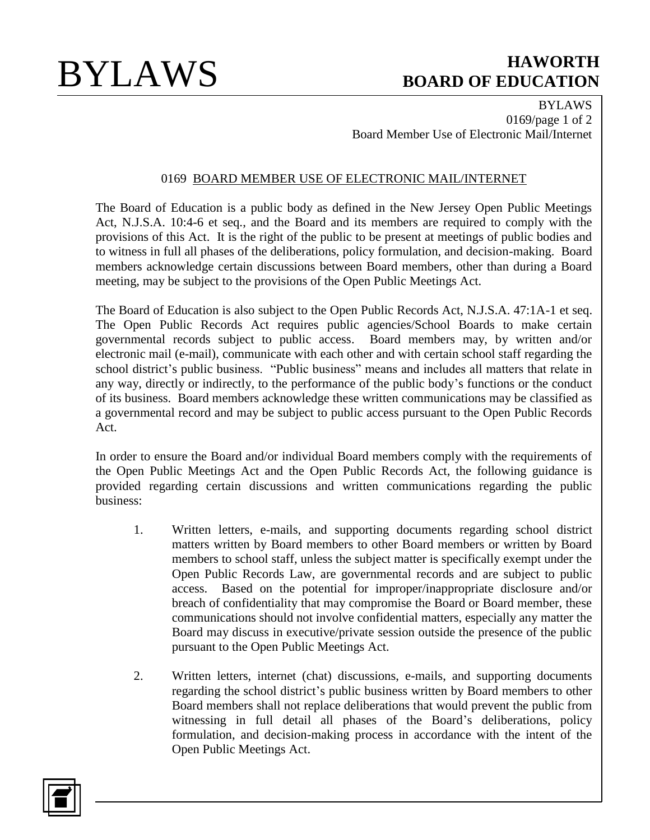BYLAWS 0169/page 1 of 2 Board Member Use of Electronic Mail/Internet

## 0169 BOARD MEMBER USE OF ELECTRONIC MAIL/INTERNET

The Board of Education is a public body as defined in the New Jersey Open Public Meetings Act, N.J.S.A. 10:4-6 et seq., and the Board and its members are required to comply with the provisions of this Act. It is the right of the public to be present at meetings of public bodies and to witness in full all phases of the deliberations, policy formulation, and decision-making. Board members acknowledge certain discussions between Board members, other than during a Board meeting, may be subject to the provisions of the Open Public Meetings Act.

The Board of Education is also subject to the Open Public Records Act, N.J.S.A. 47:1A-1 et seq. The Open Public Records Act requires public agencies/School Boards to make certain governmental records subject to public access. Board members may, by written and/or electronic mail (e-mail), communicate with each other and with certain school staff regarding the school district's public business. "Public business" means and includes all matters that relate in any way, directly or indirectly, to the performance of the public body's functions or the conduct of its business. Board members acknowledge these written communications may be classified as a governmental record and may be subject to public access pursuant to the Open Public Records Act.

In order to ensure the Board and/or individual Board members comply with the requirements of the Open Public Meetings Act and the Open Public Records Act, the following guidance is provided regarding certain discussions and written communications regarding the public business:

- 1. Written letters, e-mails, and supporting documents regarding school district matters written by Board members to other Board members or written by Board members to school staff, unless the subject matter is specifically exempt under the Open Public Records Law, are governmental records and are subject to public access. Based on the potential for improper/inappropriate disclosure and/or breach of confidentiality that may compromise the Board or Board member, these communications should not involve confidential matters, especially any matter the Board may discuss in executive/private session outside the presence of the public pursuant to the Open Public Meetings Act.
- 2. Written letters, internet (chat) discussions, e-mails, and supporting documents regarding the school district's public business written by Board members to other Board members shall not replace deliberations that would prevent the public from witnessing in full detail all phases of the Board's deliberations, policy formulation, and decision-making process in accordance with the intent of the Open Public Meetings Act.

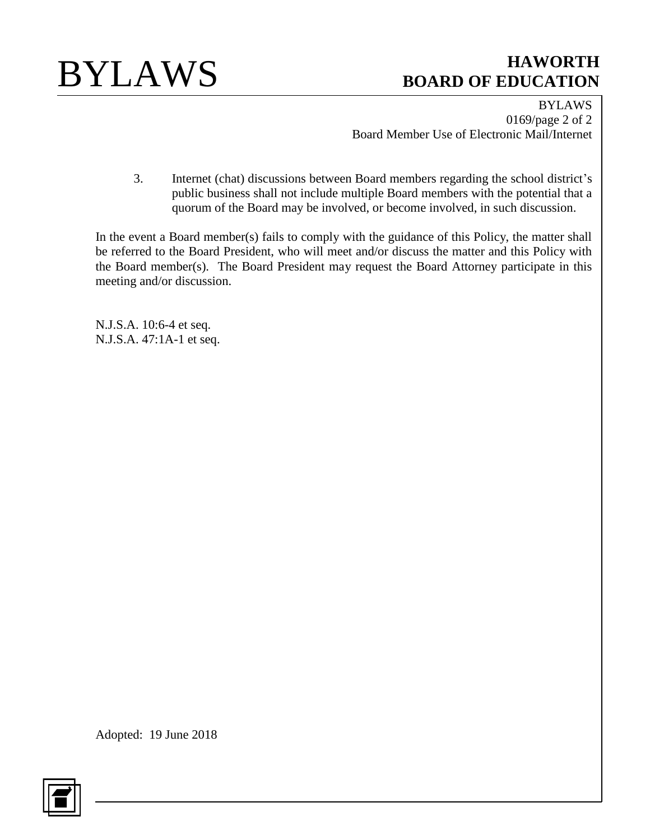

BYLAWS 0169/page 2 of 2 Board Member Use of Electronic Mail/Internet

3. Internet (chat) discussions between Board members regarding the school district's public business shall not include multiple Board members with the potential that a quorum of the Board may be involved, or become involved, in such discussion.

In the event a Board member(s) fails to comply with the guidance of this Policy, the matter shall be referred to the Board President, who will meet and/or discuss the matter and this Policy with the Board member(s). The Board President may request the Board Attorney participate in this meeting and/or discussion.

N.J.S.A. 10:6-4 et seq. N.J.S.A. 47:1A-1 et seq.

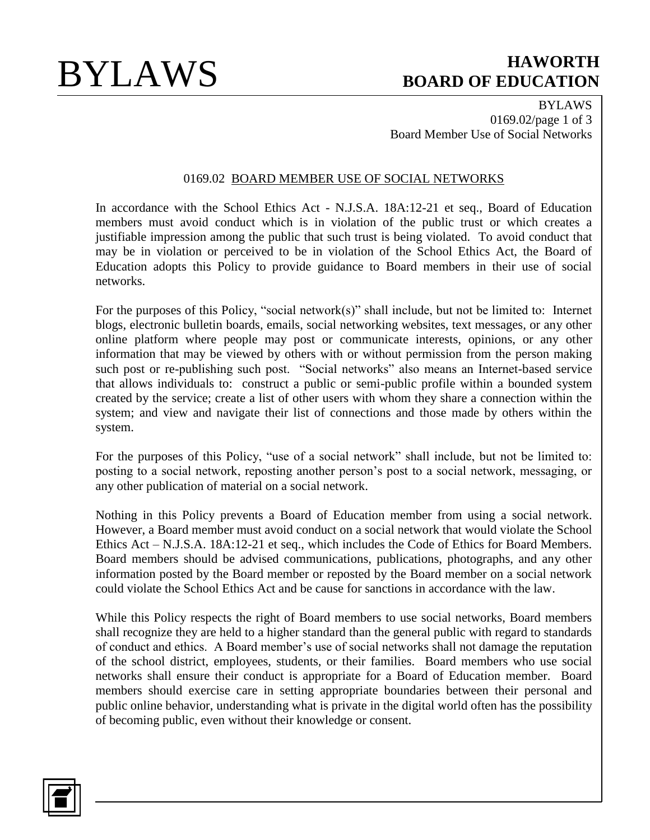BYLAWS 0169.02/page 1 of 3 Board Member Use of Social Networks

### 0169.02 BOARD MEMBER USE OF SOCIAL NETWORKS

In accordance with the School Ethics Act - N.J.S.A. 18A:12-21 et seq., Board of Education members must avoid conduct which is in violation of the public trust or which creates a justifiable impression among the public that such trust is being violated. To avoid conduct that may be in violation or perceived to be in violation of the School Ethics Act, the Board of Education adopts this Policy to provide guidance to Board members in their use of social networks.

For the purposes of this Policy, "social network(s)" shall include, but not be limited to: Internet blogs, electronic bulletin boards, emails, social networking websites, text messages, or any other online platform where people may post or communicate interests, opinions, or any other information that may be viewed by others with or without permission from the person making such post or re-publishing such post. "Social networks" also means an Internet-based service that allows individuals to: construct a public or semi-public profile within a bounded system created by the service; create a list of other users with whom they share a connection within the system; and view and navigate their list of connections and those made by others within the system.

For the purposes of this Policy, "use of a social network" shall include, but not be limited to: posting to a social network, reposting another person's post to a social network, messaging, or any other publication of material on a social network.

Nothing in this Policy prevents a Board of Education member from using a social network. However, a Board member must avoid conduct on a social network that would violate the School Ethics Act – N.J.S.A. 18A:12-21 et seq., which includes the Code of Ethics for Board Members. Board members should be advised communications, publications, photographs, and any other information posted by the Board member or reposted by the Board member on a social network could violate the School Ethics Act and be cause for sanctions in accordance with the law.

While this Policy respects the right of Board members to use social networks, Board members shall recognize they are held to a higher standard than the general public with regard to standards of conduct and ethics. A Board member's use of social networks shall not damage the reputation of the school district, employees, students, or their families. Board members who use social networks shall ensure their conduct is appropriate for a Board of Education member. Board members should exercise care in setting appropriate boundaries between their personal and public online behavior, understanding what is private in the digital world often has the possibility of becoming public, even without their knowledge or consent.

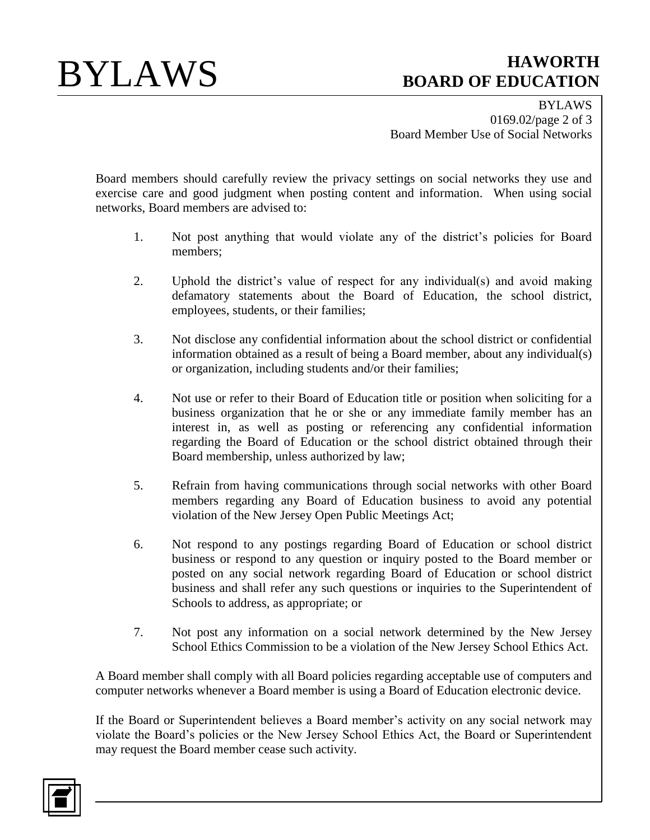BYLAWS 0169.02/page 2 of 3 Board Member Use of Social Networks

Board members should carefully review the privacy settings on social networks they use and exercise care and good judgment when posting content and information. When using social networks, Board members are advised to:

- 1. Not post anything that would violate any of the district's policies for Board members;
- 2. Uphold the district's value of respect for any individual(s) and avoid making defamatory statements about the Board of Education, the school district, employees, students, or their families;
- 3. Not disclose any confidential information about the school district or confidential information obtained as a result of being a Board member, about any individual(s) or organization, including students and/or their families;
- 4. Not use or refer to their Board of Education title or position when soliciting for a business organization that he or she or any immediate family member has an interest in, as well as posting or referencing any confidential information regarding the Board of Education or the school district obtained through their Board membership, unless authorized by law;
- 5. Refrain from having communications through social networks with other Board members regarding any Board of Education business to avoid any potential violation of the New Jersey Open Public Meetings Act;
- 6. Not respond to any postings regarding Board of Education or school district business or respond to any question or inquiry posted to the Board member or posted on any social network regarding Board of Education or school district business and shall refer any such questions or inquiries to the Superintendent of Schools to address, as appropriate; or
- 7. Not post any information on a social network determined by the New Jersey School Ethics Commission to be a violation of the New Jersey School Ethics Act.

A Board member shall comply with all Board policies regarding acceptable use of computers and computer networks whenever a Board member is using a Board of Education electronic device.

If the Board or Superintendent believes a Board member's activity on any social network may violate the Board's policies or the New Jersey School Ethics Act, the Board or Superintendent may request the Board member cease such activity.

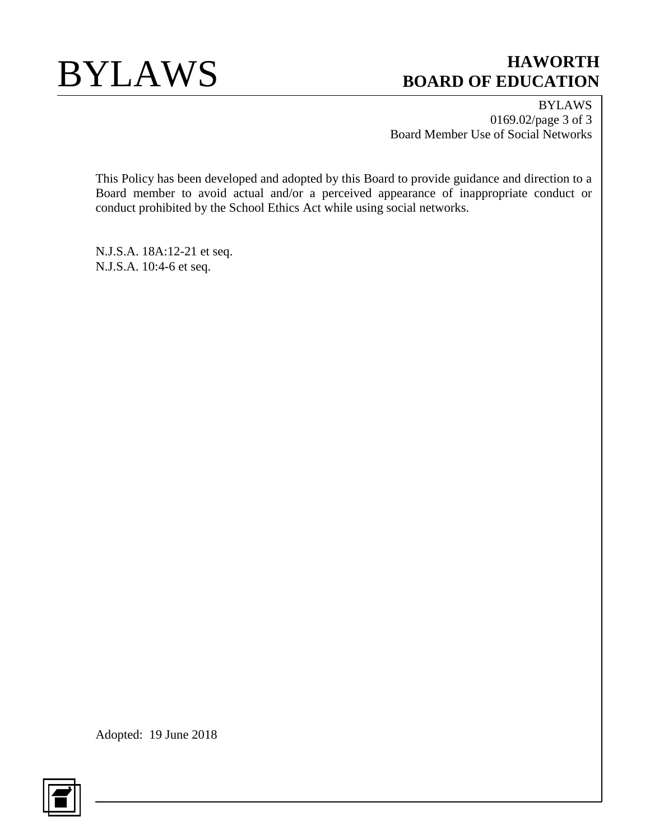

BYLAWS 0169.02/page 3 of 3 Board Member Use of Social Networks

This Policy has been developed and adopted by this Board to provide guidance and direction to a Board member to avoid actual and/or a perceived appearance of inappropriate conduct or conduct prohibited by the School Ethics Act while using social networks.

N.J.S.A. 18A:12-21 et seq. N.J.S.A. 10:4-6 et seq.

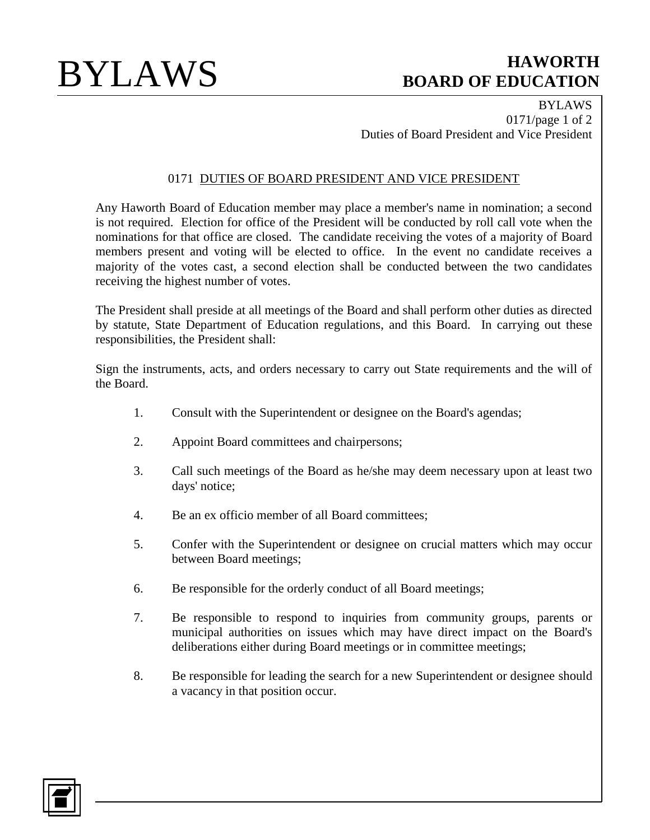BYLAWS 0171/page 1 of 2 Duties of Board President and Vice President

## 0171 DUTIES OF BOARD PRESIDENT AND VICE PRESIDENT

Any Haworth Board of Education member may place a member's name in nomination; a second is not required. Election for office of the President will be conducted by roll call vote when the nominations for that office are closed. The candidate receiving the votes of a majority of Board members present and voting will be elected to office. In the event no candidate receives a majority of the votes cast, a second election shall be conducted between the two candidates receiving the highest number of votes.

The President shall preside at all meetings of the Board and shall perform other duties as directed by statute, State Department of Education regulations, and this Board. In carrying out these responsibilities, the President shall:

Sign the instruments, acts, and orders necessary to carry out State requirements and the will of the Board.

- 1. Consult with the Superintendent or designee on the Board's agendas;
- 2. Appoint Board committees and chairpersons;
- 3. Call such meetings of the Board as he/she may deem necessary upon at least two days' notice;
- 4. Be an ex officio member of all Board committees;
- 5. Confer with the Superintendent or designee on crucial matters which may occur between Board meetings;
- 6. Be responsible for the orderly conduct of all Board meetings;
- 7. Be responsible to respond to inquiries from community groups, parents or municipal authorities on issues which may have direct impact on the Board's deliberations either during Board meetings or in committee meetings;
- 8. Be responsible for leading the search for a new Superintendent or designee should a vacancy in that position occur.

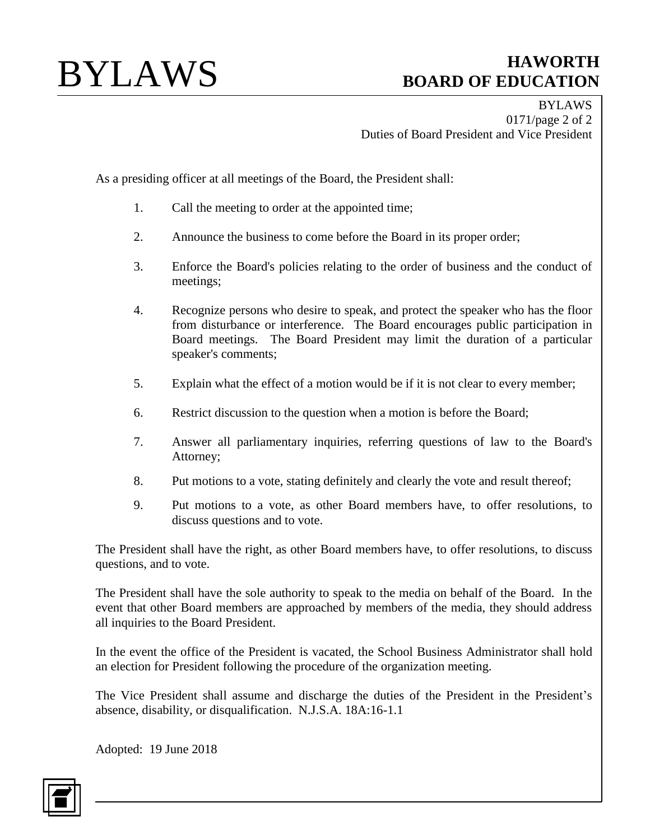BYLAWS 0171/page 2 of 2 Duties of Board President and Vice President

As a presiding officer at all meetings of the Board, the President shall:

- 1. Call the meeting to order at the appointed time;
- 2. Announce the business to come before the Board in its proper order;
- 3. Enforce the Board's policies relating to the order of business and the conduct of meetings;
- 4. Recognize persons who desire to speak, and protect the speaker who has the floor from disturbance or interference. The Board encourages public participation in Board meetings. The Board President may limit the duration of a particular speaker's comments;
- 5. Explain what the effect of a motion would be if it is not clear to every member;
- 6. Restrict discussion to the question when a motion is before the Board;
- 7. Answer all parliamentary inquiries, referring questions of law to the Board's Attorney;
- 8. Put motions to a vote, stating definitely and clearly the vote and result thereof;
- 9. Put motions to a vote, as other Board members have, to offer resolutions, to discuss questions and to vote.

The President shall have the right, as other Board members have, to offer resolutions, to discuss questions, and to vote.

The President shall have the sole authority to speak to the media on behalf of the Board. In the event that other Board members are approached by members of the media, they should address all inquiries to the Board President.

In the event the office of the President is vacated, the School Business Administrator shall hold an election for President following the procedure of the organization meeting.

The Vice President shall assume and discharge the duties of the President in the President's absence, disability, or disqualification. N.J.S.A. 18A:16-1.1

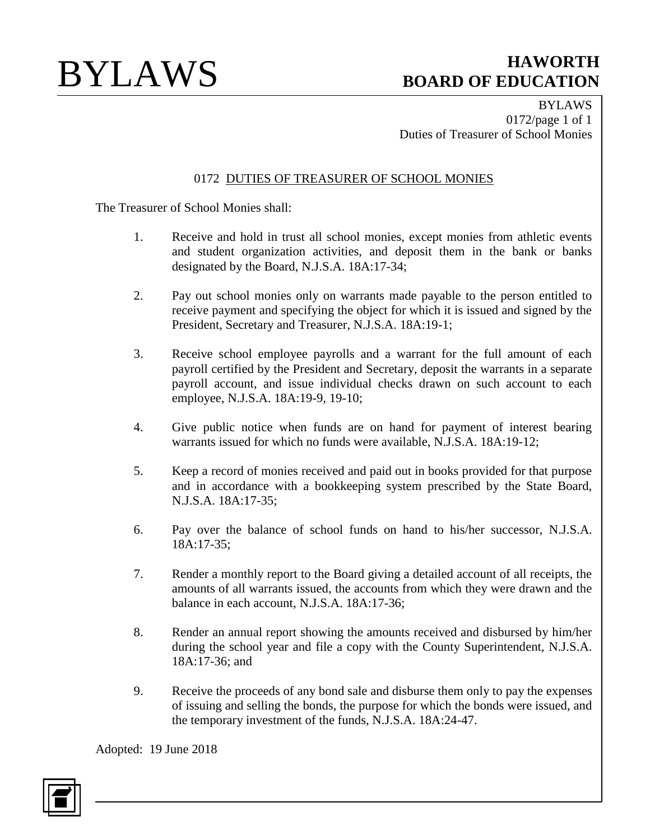BYLAWS 0172/page 1 of 1 Duties of Treasurer of School Monies

## 0172 DUTIES OF TREASURER OF SCHOOL MONIES

The Treasurer of School Monies shall:

- 1. Receive and hold in trust all school monies, except monies from athletic events and student organization activities, and deposit them in the bank or banks designated by the Board, N.J.S.A. 18A:17-34;
- 2. Pay out school monies only on warrants made payable to the person entitled to receive payment and specifying the object for which it is issued and signed by the President, Secretary and Treasurer, N.J.S.A. 18A:19-1;
- 3. Receive school employee payrolls and a warrant for the full amount of each payroll certified by the President and Secretary, deposit the warrants in a separate payroll account, and issue individual checks drawn on such account to each employee, N.J.S.A. 18A:19-9, 19-10;
- 4. Give public notice when funds are on hand for payment of interest bearing warrants issued for which no funds were available, N.J.S.A. 18A:19-12;
- 5. Keep a record of monies received and paid out in books provided for that purpose and in accordance with a bookkeeping system prescribed by the State Board, N.J.S.A. 18A:17-35;
- 6. Pay over the balance of school funds on hand to his/her successor, N.J.S.A. 18A:17-35;
- 7. Render a monthly report to the Board giving a detailed account of all receipts, the amounts of all warrants issued, the accounts from which they were drawn and the balance in each account, N.J.S.A. 18A:17-36;
- 8. Render an annual report showing the amounts received and disbursed by him/her during the school year and file a copy with the County Superintendent, N.J.S.A. 18A:17-36; and
- 9. Receive the proceeds of any bond sale and disburse them only to pay the expenses of issuing and selling the bonds, the purpose for which the bonds were issued, and the temporary investment of the funds, N.J.S.A. 18A:24-47.

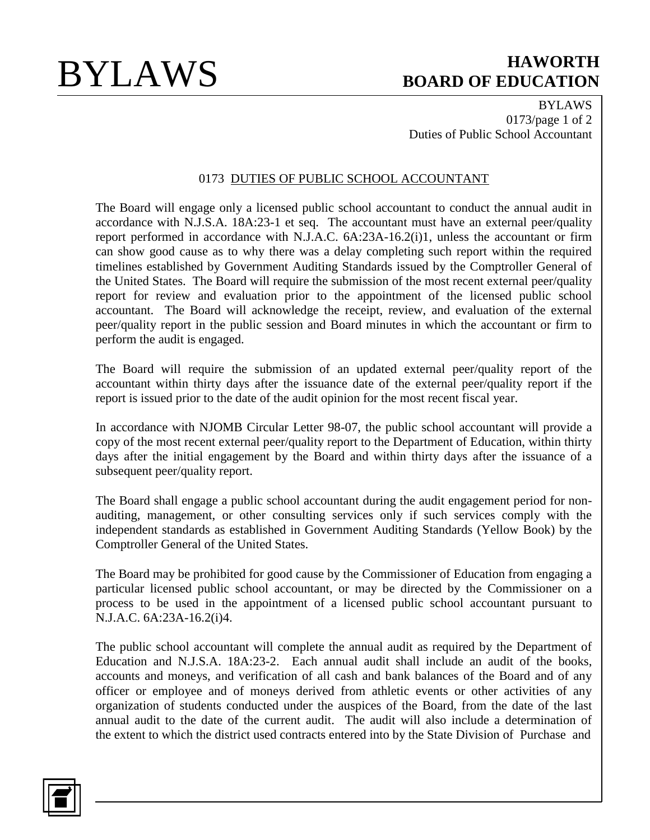BYLAWS 0173/page 1 of 2 Duties of Public School Accountant

### 0173 DUTIES OF PUBLIC SCHOOL ACCOUNTANT

The Board will engage only a licensed public school accountant to conduct the annual audit in accordance with N.J.S.A. 18A:23-1 et seq. The accountant must have an external peer/quality report performed in accordance with N.J.A.C. 6A:23A-16.2(i)1, unless the accountant or firm can show good cause as to why there was a delay completing such report within the required timelines established by Government Auditing Standards issued by the Comptroller General of the United States. The Board will require the submission of the most recent external peer/quality report for review and evaluation prior to the appointment of the licensed public school accountant. The Board will acknowledge the receipt, review, and evaluation of the external peer/quality report in the public session and Board minutes in which the accountant or firm to perform the audit is engaged.

The Board will require the submission of an updated external peer/quality report of the accountant within thirty days after the issuance date of the external peer/quality report if the report is issued prior to the date of the audit opinion for the most recent fiscal year.

In accordance with NJOMB Circular Letter 98-07, the public school accountant will provide a copy of the most recent external peer/quality report to the Department of Education, within thirty days after the initial engagement by the Board and within thirty days after the issuance of a subsequent peer/quality report.

The Board shall engage a public school accountant during the audit engagement period for nonauditing, management, or other consulting services only if such services comply with the independent standards as established in Government Auditing Standards (Yellow Book) by the Comptroller General of the United States.

The Board may be prohibited for good cause by the Commissioner of Education from engaging a particular licensed public school accountant, or may be directed by the Commissioner on a process to be used in the appointment of a licensed public school accountant pursuant to N.J.A.C. 6A:23A-16.2(i)4.

The public school accountant will complete the annual audit as required by the Department of Education and N.J.S.A. 18A:23-2. Each annual audit shall include an audit of the books, accounts and moneys, and verification of all cash and bank balances of the Board and of any officer or employee and of moneys derived from athletic events or other activities of any organization of students conducted under the auspices of the Board, from the date of the last annual audit to the date of the current audit. The audit will also include a determination of the extent to which the district used contracts entered into by the State Division of Purchase and

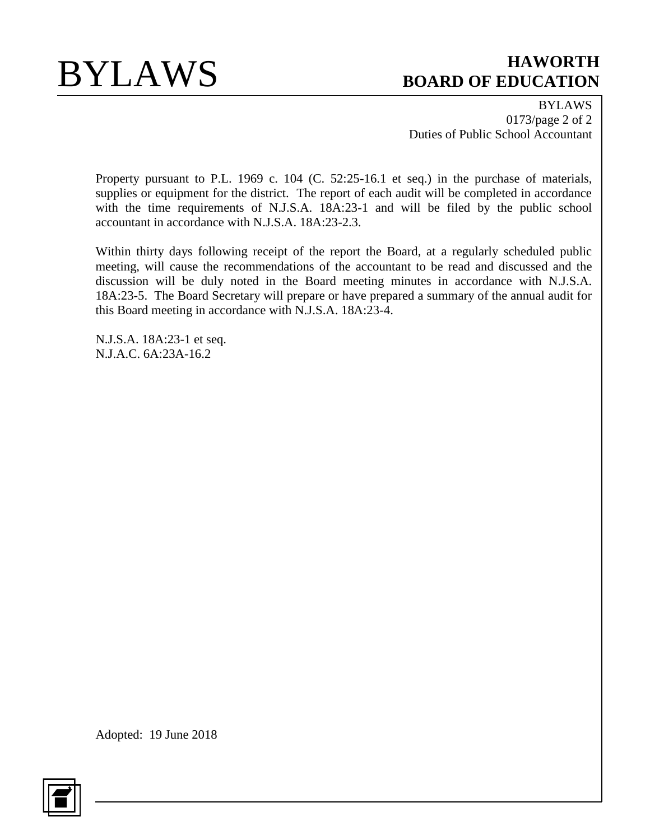BYLAWS 0173/page 2 of 2 Duties of Public School Accountant

Property pursuant to P.L. 1969 c. 104 (C. 52:25-16.1 et seq.) in the purchase of materials, supplies or equipment for the district. The report of each audit will be completed in accordance with the time requirements of N.J.S.A. 18A:23-1 and will be filed by the public school accountant in accordance with N.J.S.A. 18A:23-2.3.

Within thirty days following receipt of the report the Board, at a regularly scheduled public meeting, will cause the recommendations of the accountant to be read and discussed and the discussion will be duly noted in the Board meeting minutes in accordance with N.J.S.A. 18A:23-5. The Board Secretary will prepare or have prepared a summary of the annual audit for this Board meeting in accordance with N.J.S.A. 18A:23-4.

N.J.S.A. 18A:23-1 et seq. N.J.A.C. 6A:23A-16.2

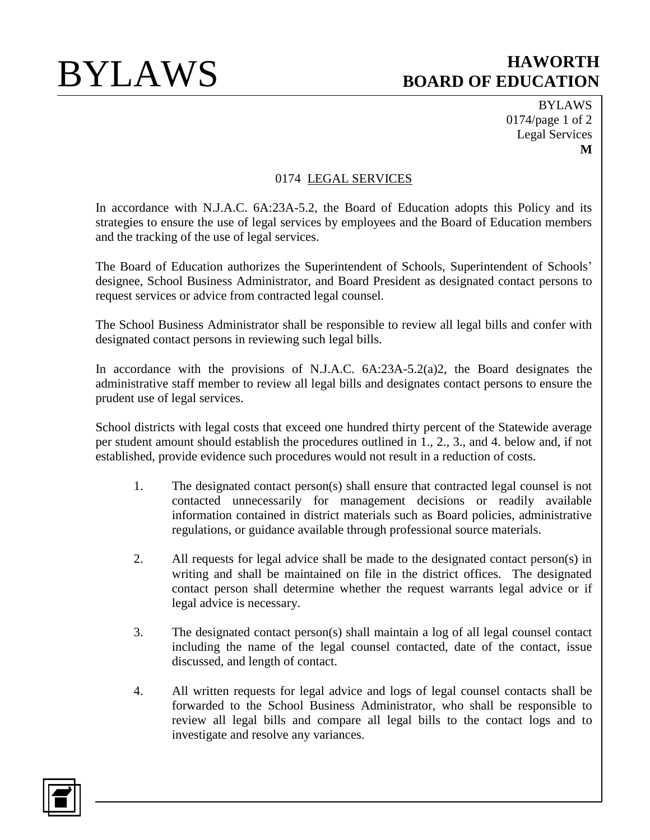BYLAWS 0174/page 1 of 2 Legal Services **M**

## 0174 LEGAL SERVICES

In accordance with N.J.A.C. 6A:23A-5.2, the Board of Education adopts this Policy and its strategies to ensure the use of legal services by employees and the Board of Education members and the tracking of the use of legal services.

The Board of Education authorizes the Superintendent of Schools, Superintendent of Schools' designee, School Business Administrator, and Board President as designated contact persons to request services or advice from contracted legal counsel.

The School Business Administrator shall be responsible to review all legal bills and confer with designated contact persons in reviewing such legal bills.

In accordance with the provisions of N.J.A.C. 6A:23A-5.2(a)2, the Board designates the administrative staff member to review all legal bills and designates contact persons to ensure the prudent use of legal services.

School districts with legal costs that exceed one hundred thirty percent of the Statewide average per student amount should establish the procedures outlined in 1., 2., 3., and 4. below and, if not established, provide evidence such procedures would not result in a reduction of costs.

- 1. The designated contact person(s) shall ensure that contracted legal counsel is not contacted unnecessarily for management decisions or readily available information contained in district materials such as Board policies, administrative regulations, or guidance available through professional source materials.
- 2. All requests for legal advice shall be made to the designated contact person(s) in writing and shall be maintained on file in the district offices. The designated contact person shall determine whether the request warrants legal advice or if legal advice is necessary.
- 3. The designated contact person(s) shall maintain a log of all legal counsel contact including the name of the legal counsel contacted, date of the contact, issue discussed, and length of contact.
- 4. All written requests for legal advice and logs of legal counsel contacts shall be forwarded to the School Business Administrator, who shall be responsible to review all legal bills and compare all legal bills to the contact logs and to investigate and resolve any variances.

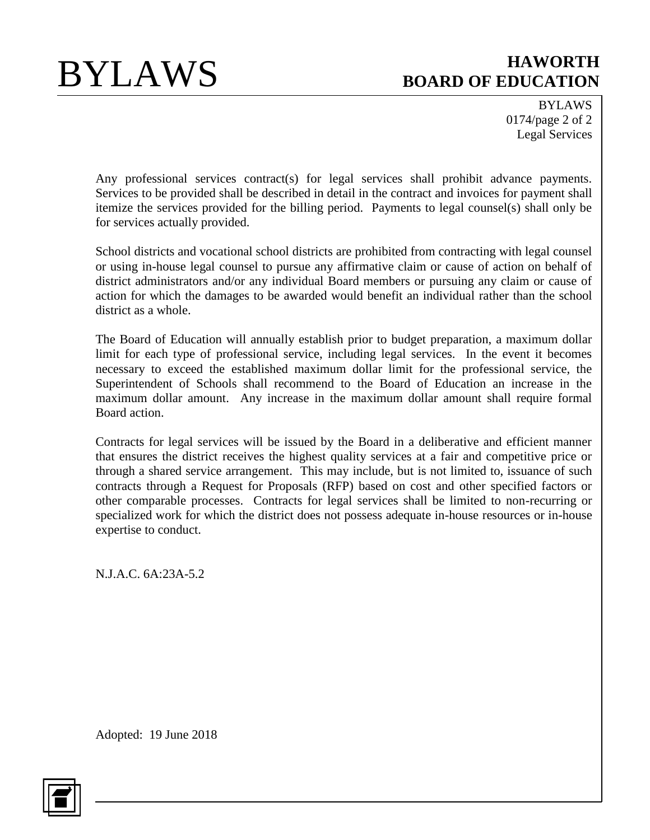BYLAWS 0174/page 2 of 2 Legal Services

Any professional services contract(s) for legal services shall prohibit advance payments. Services to be provided shall be described in detail in the contract and invoices for payment shall itemize the services provided for the billing period. Payments to legal counsel(s) shall only be for services actually provided.

School districts and vocational school districts are prohibited from contracting with legal counsel or using in-house legal counsel to pursue any affirmative claim or cause of action on behalf of district administrators and/or any individual Board members or pursuing any claim or cause of action for which the damages to be awarded would benefit an individual rather than the school district as a whole.

The Board of Education will annually establish prior to budget preparation, a maximum dollar limit for each type of professional service, including legal services. In the event it becomes necessary to exceed the established maximum dollar limit for the professional service, the Superintendent of Schools shall recommend to the Board of Education an increase in the maximum dollar amount. Any increase in the maximum dollar amount shall require formal Board action.

Contracts for legal services will be issued by the Board in a deliberative and efficient manner that ensures the district receives the highest quality services at a fair and competitive price or through a shared service arrangement. This may include, but is not limited to, issuance of such contracts through a Request for Proposals (RFP) based on cost and other specified factors or other comparable processes. Contracts for legal services shall be limited to non-recurring or specialized work for which the district does not possess adequate in-house resources or in-house expertise to conduct.

N.J.A.C. 6A:23A-5.2

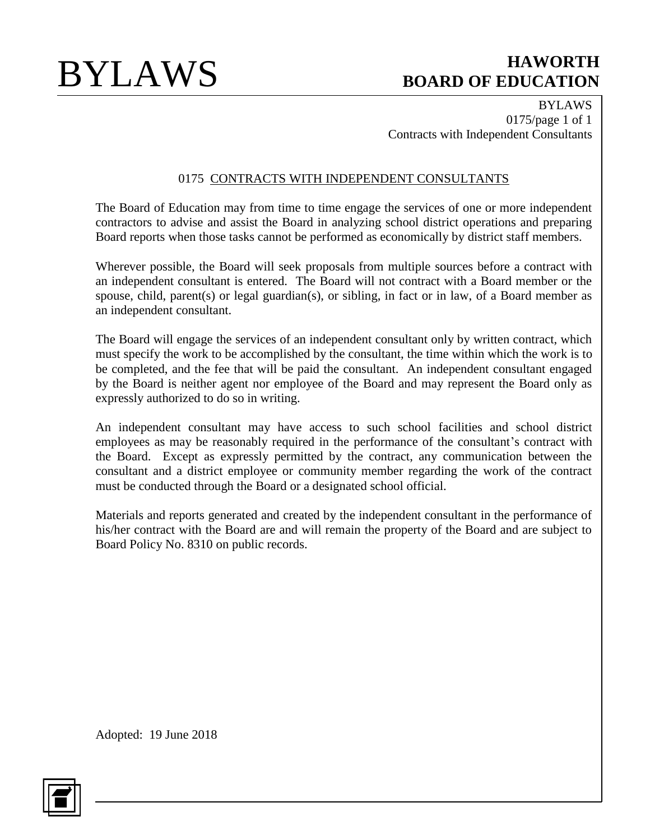BYLAWS 0175/page 1 of 1 Contracts with Independent Consultants

## 0175 CONTRACTS WITH INDEPENDENT CONSULTANTS

The Board of Education may from time to time engage the services of one or more independent contractors to advise and assist the Board in analyzing school district operations and preparing Board reports when those tasks cannot be performed as economically by district staff members.

Wherever possible, the Board will seek proposals from multiple sources before a contract with an independent consultant is entered. The Board will not contract with a Board member or the spouse, child, parent(s) or legal guardian(s), or sibling, in fact or in law, of a Board member as an independent consultant.

The Board will engage the services of an independent consultant only by written contract, which must specify the work to be accomplished by the consultant, the time within which the work is to be completed, and the fee that will be paid the consultant. An independent consultant engaged by the Board is neither agent nor employee of the Board and may represent the Board only as expressly authorized to do so in writing.

An independent consultant may have access to such school facilities and school district employees as may be reasonably required in the performance of the consultant's contract with the Board. Except as expressly permitted by the contract, any communication between the consultant and a district employee or community member regarding the work of the contract must be conducted through the Board or a designated school official.

Materials and reports generated and created by the independent consultant in the performance of his/her contract with the Board are and will remain the property of the Board and are subject to Board Policy No. 8310 on public records.

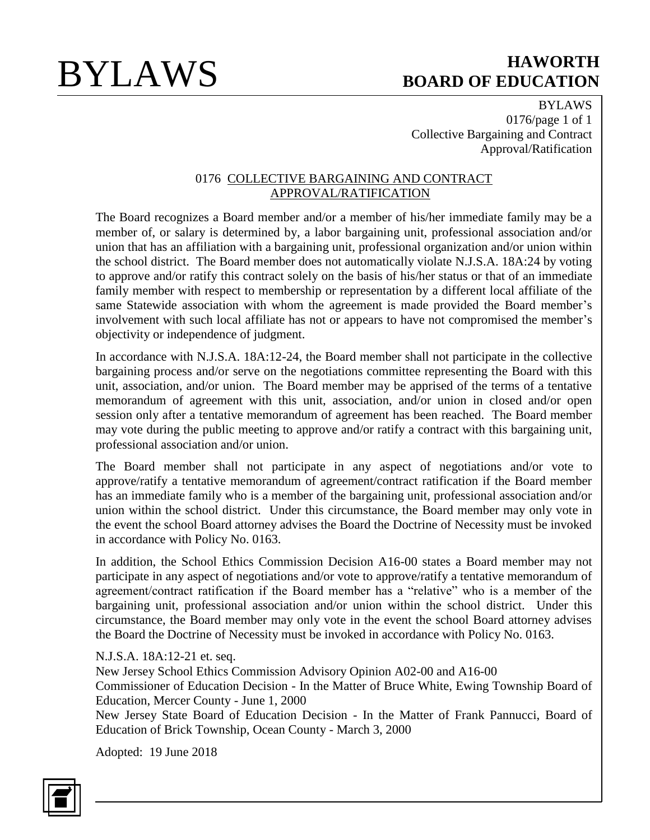BYLAWS 0176/page 1 of 1 Collective Bargaining and Contract Approval/Ratification

### 0176 COLLECTIVE BARGAINING AND CONTRACT APPROVAL/RATIFICATION

The Board recognizes a Board member and/or a member of his/her immediate family may be a member of, or salary is determined by, a labor bargaining unit, professional association and/or union that has an affiliation with a bargaining unit, professional organization and/or union within the school district. The Board member does not automatically violate N.J.S.A. 18A:24 by voting to approve and/or ratify this contract solely on the basis of his/her status or that of an immediate family member with respect to membership or representation by a different local affiliate of the same Statewide association with whom the agreement is made provided the Board member's involvement with such local affiliate has not or appears to have not compromised the member's objectivity or independence of judgment.

In accordance with N.J.S.A. 18A:12-24, the Board member shall not participate in the collective bargaining process and/or serve on the negotiations committee representing the Board with this unit, association, and/or union. The Board member may be apprised of the terms of a tentative memorandum of agreement with this unit, association, and/or union in closed and/or open session only after a tentative memorandum of agreement has been reached. The Board member may vote during the public meeting to approve and/or ratify a contract with this bargaining unit, professional association and/or union.

The Board member shall not participate in any aspect of negotiations and/or vote to approve/ratify a tentative memorandum of agreement/contract ratification if the Board member has an immediate family who is a member of the bargaining unit, professional association and/or union within the school district. Under this circumstance, the Board member may only vote in the event the school Board attorney advises the Board the Doctrine of Necessity must be invoked in accordance with Policy No. 0163.

In addition, the School Ethics Commission Decision A16-00 states a Board member may not participate in any aspect of negotiations and/or vote to approve/ratify a tentative memorandum of agreement/contract ratification if the Board member has a "relative" who is a member of the bargaining unit, professional association and/or union within the school district. Under this circumstance, the Board member may only vote in the event the school Board attorney advises the Board the Doctrine of Necessity must be invoked in accordance with Policy No. 0163.

N.J.S.A. 18A:12-21 et. seq.

New Jersey School Ethics Commission Advisory Opinion A02-00 and A16-00 Commissioner of Education Decision - In the Matter of Bruce White, Ewing Township Board of Education, Mercer County - June 1, 2000

New Jersey State Board of Education Decision - In the Matter of Frank Pannucci, Board of Education of Brick Township, Ocean County - March 3, 2000